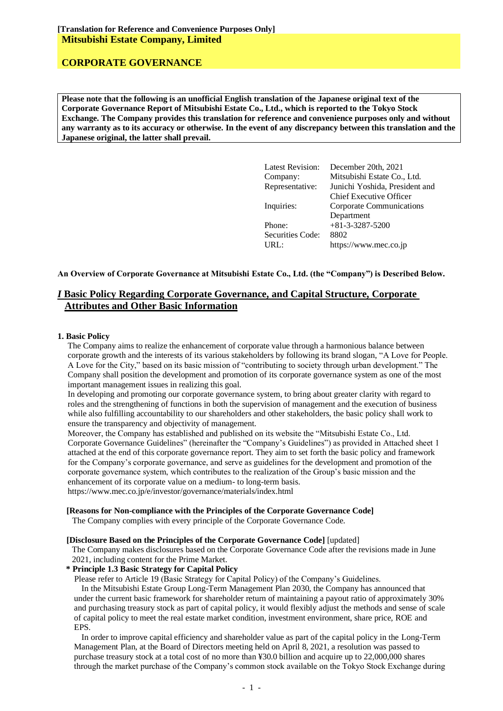**Please note that the following is an unofficial English translation of the Japanese original text of the Corporate Governance Report of Mitsubishi Estate Co., Ltd., which is reported to the Tokyo Stock Exchange. The Company provides this translation for reference and convenience purposes only and without any warranty as to its accuracy or otherwise. In the event of any discrepancy between this translation and the Japanese original, the latter shall prevail.**

| <b>Latest Revision:</b> | December 20th, 2021             |
|-------------------------|---------------------------------|
| Company:                | Mitsubishi Estate Co., Ltd.     |
| Representative:         | Junichi Yoshida, President and  |
|                         | <b>Chief Executive Officer</b>  |
| Inquiries:              | <b>Corporate Communications</b> |
|                         | Department                      |
| Phone:                  | $+81 - 3 - 3287 - 5200$         |
| Securities Code:        | 8802                            |
| URL:                    | https://www.mec.co.jp           |
|                         |                                 |

#### **An Overview of Corporate Governance at Mitsubishi Estate Co., Ltd. (the "Company") is Described Below.**

### *I* **Basic Policy Regarding Corporate Governance, and Capital Structure, Corporate Attributes and Other Basic Information**

#### **1. Basic Policy**

The Company aims to realize the enhancement of corporate value through a harmonious balance between corporate growth and the interests of its various stakeholders by following its brand slogan, "A Love for People. A Love for the City," based on its basic mission of "contributing to society through urban development." The Company shall position the development and promotion of its corporate governance system as one of the most important management issues in realizing this goal.

In developing and promoting our corporate governance system, to bring about greater clarity with regard to roles and the strengthening of functions in both the supervision of management and the execution of business while also fulfilling accountability to our shareholders and other stakeholders, the basic policy shall work to ensure the transparency and objectivity of management.

Moreover, the Company has established and published on its website the "Mitsubishi Estate Co., Ltd. Corporate Governance Guidelines" (hereinafter the "Company's Guidelines") as provided in Attached sheet 1 attached at the end of this corporate governance report. They aim to set forth the basic policy and framework for the Company's corporate governance, and serve as guidelines for the development and promotion of the corporate governance system, which contributes to the realization of the Group's basic mission and the enhancement of its corporate value on a medium- to long-term basis.

https://www.mec.co.jp/e/investor/governance/materials/index.html

#### **[Reasons for Non-compliance with the Principles of the Corporate Governance Code]**

The Company complies with every principle of the Corporate Governance Code.

#### **[Disclosure Based on the Principles of the Corporate Governance Code]** [updated]

The Company makes disclosures based on the Corporate Governance Code after the revisions made in June 2021, including content for the Prime Market.

#### **\* Principle 1.3 Basic Strategy for Capital Policy**

Please refer to Article 19 (Basic Strategy for Capital Policy) of the Company's Guidelines.

In the Mitsubishi Estate Group Long-Term Management Plan 2030, the Company has announced that under the current basic framework for shareholder return of maintaining a payout ratio of approximately 30% and purchasing treasury stock as part of capital policy, it would flexibly adjust the methods and sense of scale of capital policy to meet the real estate market condition, investment environment, share price, ROE and EPS.

In order to improve capital efficiency and shareholder value as part of the capital policy in the Long-Term Management Plan, at the Board of Directors meeting held on April 8, 2021, a resolution was passed to purchase treasury stock at a total cost of no more than ¥30.0 billion and acquire up to 22,000,000 shares through the market purchase of the Company's common stock available on the Tokyo Stock Exchange during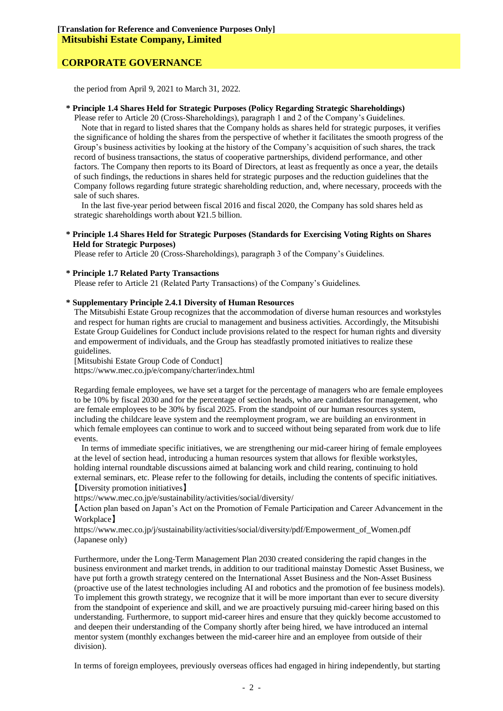the period from April 9, 2021 to March 31, 2022.

#### **\* Principle 1.4 Shares Held for Strategic Purposes (Policy Regarding Strategic Shareholdings)**

Please refer to Article 20 (Cross-Shareholdings), paragraph 1 and 2 of the Company's Guidelines. Note that in regard to listed shares that the Company holds as shares held for strategic purposes, it verifies the significance of holding the shares from the perspective of whether it facilitates the smooth progress of the Group's business activities by looking at the history of the Company's acquisition of such shares, the track record of business transactions, the status of cooperative partnerships, dividend performance, and other factors. The Company then reports to its Board of Directors, at least as frequently as once a year, the details of such findings, the reductions in shares held for strategic purposes and the reduction guidelines that the Company follows regarding future strategic shareholding reduction, and, where necessary, proceeds with the sale of such shares.

In the last five-year period between fiscal 2016 and fiscal 2020, the Company has sold shares held as strategic shareholdings worth about ¥21.5 billion.

#### **\* Principle 1.4 Shares Held for Strategic Purposes (Standards for Exercising Voting Rights on Shares Held for Strategic Purposes)**

Please refer to Article 20 (Cross-Shareholdings), paragraph 3 of the Company's Guidelines.

#### **\* Principle 1.7 Related Party Transactions**

Please refer to Article 21 (Related Party Transactions) of the Company's Guidelines.

#### **\* Supplementary Principle 2.4.1 Diversity of Human Resources**

The Mitsubishi Estate Group recognizes that the accommodation of diverse human resources and workstyles and respect for human rights are crucial to management and business activities. Accordingly, the Mitsubishi Estate Group Guidelines for Conduct include provisions related to the respect for human rights and diversity and empowerment of individuals, and the Group has steadfastly promoted initiatives to realize these guidelines.

[Mitsubishi Estate Group Code of Conduct]

https://www.mec.co.jp/e/company/charter/index.html

Regarding female employees, we have set a target for the percentage of managers who are female employees to be 10% by fiscal 2030 and for the percentage of section heads, who are candidates for management, who are female employees to be 30% by fiscal 2025. From the standpoint of our human resources system, including the childcare leave system and the reemployment program, we are building an environment in which female employees can continue to work and to succeed without being separated from work due to life events.

In terms of immediate specific initiatives, we are strengthening our mid-career hiring of female employees at the level of section head, introducing a human resources system that allows for flexible workstyles, holding internal roundtable discussions aimed at balancing work and child rearing, continuing to hold external seminars, etc. Please refer to the following for details, including the contents of specific initiatives. 【Diversity promotion initiatives】

https://www.mec.co.jp/e/sustainability/activities/social/diversity/

【Action plan based on Japan's Act on the Promotion of Female Participation and Career Advancement in the Workplace】

https://www.mec.co.jp/j/sustainability/activities/social/diversity/pdf/Empowerment\_of\_Women.pdf (Japanese only)

Furthermore, under the Long-Term Management Plan 2030 created considering the rapid changes in the business environment and market trends, in addition to our traditional mainstay Domestic Asset Business, we have put forth a growth strategy centered on the International Asset Business and the Non-Asset Business (proactive use of the latest technologies including AI and robotics and the promotion of fee business models). To implement this growth strategy, we recognize that it will be more important than ever to secure diversity from the standpoint of experience and skill, and we are proactively pursuing mid-career hiring based on this understanding. Furthermore, to support mid-career hires and ensure that they quickly become accustomed to and deepen their understanding of the Company shortly after being hired, we have introduced an internal mentor system (monthly exchanges between the mid-career hire and an employee from outside of their division).

In terms of foreign employees, previously overseas offices had engaged in hiring independently, but starting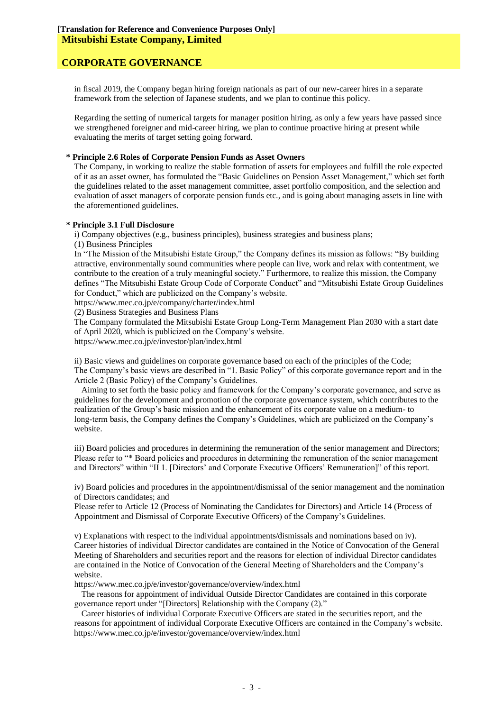in fiscal 2019, the Company began hiring foreign nationals as part of our new-career hires in a separate framework from the selection of Japanese students, and we plan to continue this policy.

Regarding the setting of numerical targets for manager position hiring, as only a few years have passed since we strengthened foreigner and mid-career hiring, we plan to continue proactive hiring at present while evaluating the merits of target setting going forward.

#### **\* Principle 2.6 Roles of Corporate Pension Funds as Asset Owners**

The Company, in working to realize the stable formation of assets for employees and fulfill the role expected of it as an asset owner, has formulated the "Basic Guidelines on Pension Asset Management," which set forth the guidelines related to the asset management committee, asset portfolio composition, and the selection and evaluation of asset managers of corporate pension funds etc., and is going about managing assets in line with the aforementioned guidelines.

#### **\* Principle 3.1 Full Disclosure**

i) Company objectives (e.g., business principles), business strategies and business plans;

(1) Business Principles

In "The Mission of the Mitsubishi Estate Group," the Company defines its mission as follows: "By building attractive, environmentally sound communities where people can live, work and relax with contentment, we contribute to the creation of a truly meaningful society." Furthermore, to realize this mission, the Company defines "The Mitsubishi Estate Group Code of Corporate Conduct" and "Mitsubishi Estate Group Guidelines for Conduct," which are publicized on the Company's website.

https://www.mec.co.jp/e/company/charter/index.html

(2) Business Strategies and Business Plans

The Company formulated the Mitsubishi Estate Group Long-Term Management Plan 2030 with a start date of April 2020, which is publicized on the Company's website.

https://www.mec.co.jp/e/investor/plan/index.html

ii) Basic views and guidelines on corporate governance based on each of the principles of the Code; The Company's basic views are described in "1. Basic Policy" of this corporate governance report and in the Article 2 (Basic Policy) of the Company's Guidelines.

Aiming to set forth the basic policy and framework for the Company's corporate governance, and serve as guidelines for the development and promotion of the corporate governance system, which contributes to the realization of the Group's basic mission and the enhancement of its corporate value on a medium- to long-term basis, the Company defines the Company's Guidelines, which are publicized on the Company's website.

iii) Board policies and procedures in determining the remuneration of the senior management and Directors; Please refer to "\* Board policies and procedures in determining the remuneration of the senior management and Directors" within "II 1. [Directors' and Corporate Executive Officers' Remuneration]" of this report.

iv) Board policies and procedures in the appointment/dismissal of the senior management and the nomination of Directors candidates; and

Please refer to Article 12 (Process of Nominating the Candidates for Directors) and Article 14 (Process of Appointment and Dismissal of Corporate Executive Officers) of the Company's Guidelines.

v) Explanations with respect to the individual appointments/dismissals and nominations based on iv). Career histories of individual Director candidates are contained in the Notice of Convocation of the General Meeting of Shareholders and securities report and the reasons for election of individual Director candidates are contained in the Notice of Convocation of the General Meeting of Shareholders and the Company's website.

https://www.mec.co.jp/e/investor/governance/overview/index.html

The reasons for appointment of individual Outside Director Candidates are contained in this corporate governance report under "[Directors] Relationship with the Company (2)."

Career histories of individual Corporate Executive Officers are stated in the securities report, and the reasons for appointment of individual Corporate Executive Officers are contained in the Company's website. https://www.mec.co.jp/e/investor/governance/overview/index.html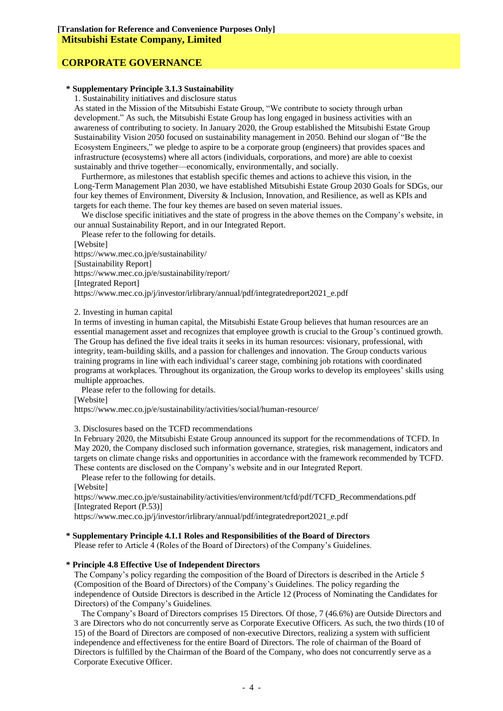#### **\* Supplementary Principle 3.1.3 Sustainability**

1. Sustainability initiatives and disclosure status

As stated in the Mission of the Mitsubishi Estate Group, "We contribute to society through urban development." As such, the Mitsubishi Estate Group has long engaged in business activities with an awareness of contributing to society. In January 2020, the Group established the Mitsubishi Estate Group Sustainability Vision 2050 focused on sustainability management in 2050. Behind our slogan of "Be the Ecosystem Engineers," we pledge to aspire to be a corporate group (engineers) that provides spaces and infrastructure (ecosystems) where all actors (individuals, corporations, and more) are able to coexist sustainably and thrive together—economically, environmentally, and socially.

Furthermore, as milestones that establish specific themes and actions to achieve this vision, in the Long-Term Management Plan 2030, we have established Mitsubishi Estate Group 2030 Goals for SDGs, our four key themes of Environment, Diversity & Inclusion, Innovation, and Resilience, as well as KPIs and targets for each theme. The four key themes are based on seven material issues.

We disclose specific initiatives and the state of progress in the above themes on the Company's website, in our annual Sustainability Report, and in our Integrated Report.

Please refer to the following for details. [Website] https://www.mec.co.jp/e/sustainability/ [Sustainability Report] https://www.mec.co.jp/e/sustainability/report/ [Integrated Report] https://www.mec.co.jp/j/investor/irlibrary/annual/pdf/integratedreport2021\_e.pdf

#### 2. Investing in human capital

In terms of investing in human capital, the Mitsubishi Estate Group believes that human resources are an essential management asset and recognizes that employee growth is crucial to the Group's continued growth. The Group has defined the five ideal traits it seeks in its human resources: visionary, professional, with integrity, team-building skills, and a passion for challenges and innovation. The Group conducts various training programs in line with each individual's career stage, combining job rotations with coordinated programs at workplaces. Throughout its organization, the Group works to develop its employees' skills using multiple approaches.

Please refer to the following for details.

[Website]

https://www.mec.co.jp/e/sustainability/activities/social/human-resource/

3. Disclosures based on the TCFD recommendations

In February 2020, the Mitsubishi Estate Group announced its support for the recommendations of TCFD. In May 2020, the Company disclosed such information governance, strategies, risk management, indicators and targets on climate change risks and opportunities in accordance with the framework recommended by TCFD. These contents are disclosed on the Company's website and in our Integrated Report.

Please refer to the following for details.

[Website]

https://www.mec.co.jp/e/sustainability/activities/environment/tcfd/pdf/TCFD\_Recommendations.pdf [Integrated Report (P.53)]

https://www.mec.co.jp/j/investor/irlibrary/annual/pdf/integratedreport2021\_e.pdf

#### **\* Supplementary Principle 4.1.1 Roles and Responsibilities of the Board of Directors**

Please refer to Article 4 (Roles of the Board of Directors) of the Company's Guidelines.

#### **\* Principle 4.8 Effective Use of Independent Directors**

The Company's policy regarding the composition of the Board of Directors is described in the Article 5 (Composition of the Board of Directors) of the Company's Guidelines. The policy regarding the independence of Outside Directors is described in the Article 12 (Process of Nominating the Candidates for Directors) of the Company's Guidelines.

The Company's Board of Directors comprises 15 Directors. Of those, 7 (46.6%) are Outside Directors and 3 are Directors who do not concurrently serve as Corporate Executive Officers. As such, the two thirds (10 of 15) of the Board of Directors are composed of non-executive Directors, realizing a system with sufficient independence and effectiveness for the entire Board of Directors. The role of chairman of the Board of Directors is fulfilled by the Chairman of the Board of the Company, who does not concurrently serve as a Corporate Executive Officer.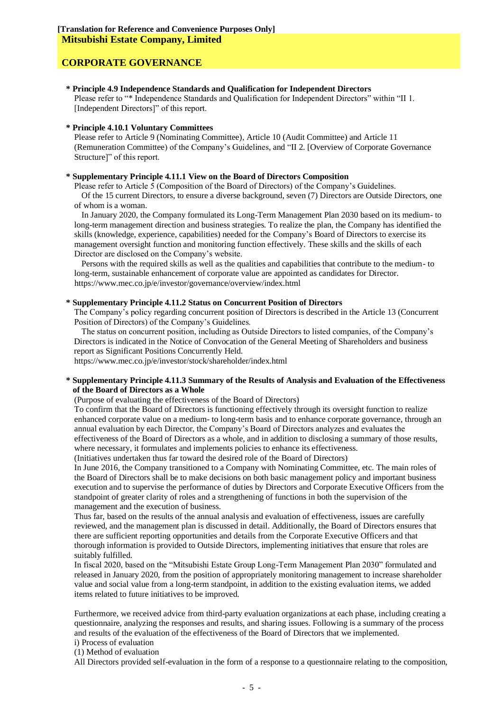#### **\* Principle 4.9 Independence Standards and Qualification for Independent Directors**

Please refer to "\* Independence Standards and Qualification for Independent Directors" within "II 1. [Independent Directors]" of this report.

#### **\* Principle 4.10.1 Voluntary Committees**

Please refer to Article 9 (Nominating Committee), Article 10 (Audit Committee) and Article 11 (Remuneration Committee) of the Company's Guidelines, and "II 2. [Overview of Corporate Governance Structure]" of this report.

#### **\* Supplementary Principle 4.11.1 View on the Board of Directors Composition**

Please refer to Article 5 (Composition of the Board of Directors) of the Company's Guidelines. Of the 15 current Directors, to ensure a diverse background, seven (7) Directors are Outside Directors, one of whom is a woman.

In January 2020, the Company formulated its Long-Term Management Plan 2030 based on its medium- to long-term management direction and business strategies. To realize the plan, the Company has identified the skills (knowledge, experience, capabilities) needed for the Company's Board of Directors to exercise its management oversight function and monitoring function effectively. These skills and the skills of each Director are disclosed on the Company's website.

Persons with the required skills as well as the qualities and capabilities that contribute to the medium- to long-term, sustainable enhancement of corporate value are appointed as candidates for Director. https://www.mec.co.jp/e/investor/governance/overview/index.html

#### **\* Supplementary Principle 4.11.2 Status on Concurrent Position of Directors**

The Company's policy regarding concurrent position of Directors is described in the Article 13 (Concurrent Position of Directors) of the Company's Guidelines.

The status on concurrent position, including as Outside Directors to listed companies, of the Company's Directors is indicated in the Notice of Convocation of the General Meeting of Shareholders and business report as Significant Positions Concurrently Held.

https://www.mec.co.jp/e/investor/stock/shareholder/index.html

#### **\* Supplementary Principle 4.11.3 Summary of the Results of Analysis and Evaluation of the Effectiveness of the Board of Directors as a Whole**

(Purpose of evaluating the effectiveness of the Board of Directors)

To confirm that the Board of Directors is functioning effectively through its oversight function to realize enhanced corporate value on a medium- to long-term basis and to enhance corporate governance, through an annual evaluation by each Director, the Company's Board of Directors analyzes and evaluates the effectiveness of the Board of Directors as a whole, and in addition to disclosing a summary of those results, where necessary, it formulates and implements policies to enhance its effectiveness.

(Initiatives undertaken thus far toward the desired role of the Board of Directors)

In June 2016, the Company transitioned to a Company with Nominating Committee, etc. The main roles of the Board of Directors shall be to make decisions on both basic management policy and important business execution and to supervise the performance of duties by Directors and Corporate Executive Officers from the standpoint of greater clarity of roles and a strengthening of functions in both the supervision of the management and the execution of business.

Thus far, based on the results of the annual analysis and evaluation of effectiveness, issues are carefully reviewed, and the management plan is discussed in detail. Additionally, the Board of Directors ensures that there are sufficient reporting opportunities and details from the Corporate Executive Officers and that thorough information is provided to Outside Directors, implementing initiatives that ensure that roles are suitably fulfilled.

In fiscal 2020, based on the "Mitsubishi Estate Group Long-Term Management Plan 2030" formulated and released in January 2020, from the position of appropriately monitoring management to increase shareholder value and social value from a long-term standpoint, in addition to the existing evaluation items, we added items related to future initiatives to be improved.

Furthermore, we received advice from third-party evaluation organizations at each phase, including creating a questionnaire, analyzing the responses and results, and sharing issues. Following is a summary of the process and results of the evaluation of the effectiveness of the Board of Directors that we implemented.

i) Process of evaluation

(1) Method of evaluation

All Directors provided self-evaluation in the form of a response to a questionnaire relating to the composition,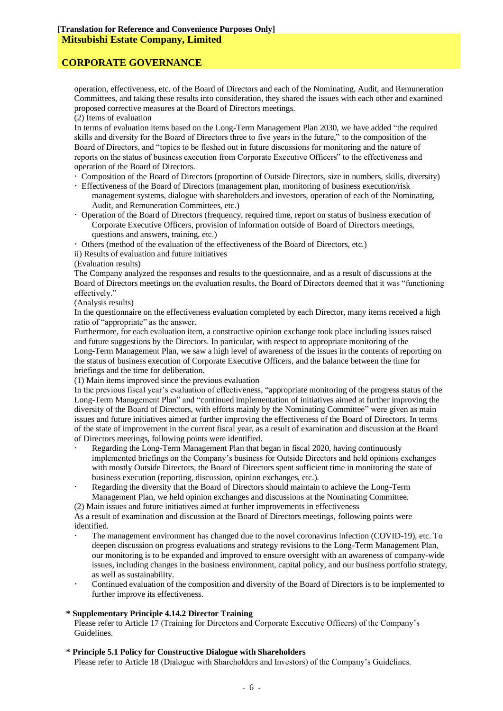operation, effectiveness, etc. of the Board of Directors and each of the Nominating, Audit, and Remuneration Committees, and taking these results into consideration, they shared the issues with each other and examined proposed corrective measures at the Board of Directors meetings.

(2) Items of evaluation

In terms of evaluation items based on the Long-Term Management Plan 2030, we have added "the required skills and diversity for the Board of Directors three to five years in the future," to the composition of the Board of Directors, and "topics to be fleshed out in future discussions for monitoring and the nature of reports on the status of business execution from Corporate Executive Officers" to the effectiveness and operation of the Board of Directors.

- Composition of the Board of Directors (proportion of Outside Directors, size in numbers, skills, diversity)
- Effectiveness of the Board of Directors (management plan, monitoring of business execution/risk management systems, dialogue with shareholders and investors, operation of each of the Nominating, Audit, and Remuneration Committees, etc.)
- Operation of the Board of Directors (frequency, required time, report on status of business execution of Corporate Executive Officers, provision of information outside of Board of Directors meetings, questions and answers, training, etc.)

Others (method of the evaluation of the effectiveness of the Board of Directors, etc.)

ii) Results of evaluation and future initiatives

(Evaluation results)

The Company analyzed the responses and results to the questionnaire, and as a result of discussions at the Board of Directors meetings on the evaluation results, the Board of Directors deemed that it was "functioning effectively."

(Analysis results)

In the questionnaire on the effectiveness evaluation completed by each Director, many items received a high ratio of "appropriate" as the answer.

Furthermore, for each evaluation item, a constructive opinion exchange took place including issues raised and future suggestions by the Directors. In particular, with respect to appropriate monitoring of the Long-Term Management Plan, we saw a high level of awareness of the issues in the contents of reporting on the status of business execution of Corporate Executive Officers, and the balance between the time for briefings and the time for deliberation.

(1) Main items improved since the previous evaluation

In the previous fiscal year's evaluation of effectiveness, "appropriate monitoring of the progress status of the Long-Term Management Plan" and "continued implementation of initiatives aimed at further improving the diversity of the Board of Directors, with efforts mainly by the Nominating Committee" were given as main issues and future initiatives aimed at further improving the effectiveness of the Board of Directors. In terms of the state of improvement in the current fiscal year, as a result of examination and discussion at the Board of Directors meetings, following points were identified.

- Regarding the Long-Term Management Plan that began in fiscal 2020, having continuously implemented briefings on the Company's business for Outside Directors and held opinions exchanges with mostly Outside Directors, the Board of Directors spent sufficient time in monitoring the state of business execution (reporting, discussion, opinion exchanges, etc.).
- Regarding the diversity that the Board of Directors should maintain to achieve the Long-Term Management Plan, we held opinion exchanges and discussions at the Nominating Committee.

(2) Main issues and future initiatives aimed at further improvements in effectiveness

As a result of examination and discussion at the Board of Directors meetings, following points were identified.

- The management environment has changed due to the novel coronavirus infection (COVID-19), etc. To deepen discussion on progress evaluations and strategy revisions to the Long-Term Management Plan, our monitoring is to be expanded and improved to ensure oversight with an awareness of company-wide issues, including changes in the business environment, capital policy, and our business portfolio strategy, as well as sustainability.
- Continued evaluation of the composition and diversity of the Board of Directors is to be implemented to further improve its effectiveness.

### **\* Supplementary Principle 4.14.2 Director Training**

Please refer to Article 17 (Training for Directors and Corporate Executive Officers) of the Company's Guidelines.

### **\* Principle 5.1 Policy for Constructive Dialogue with Shareholders**

Please refer to Article 18 (Dialogue with Shareholders and Investors) of the Company's Guidelines.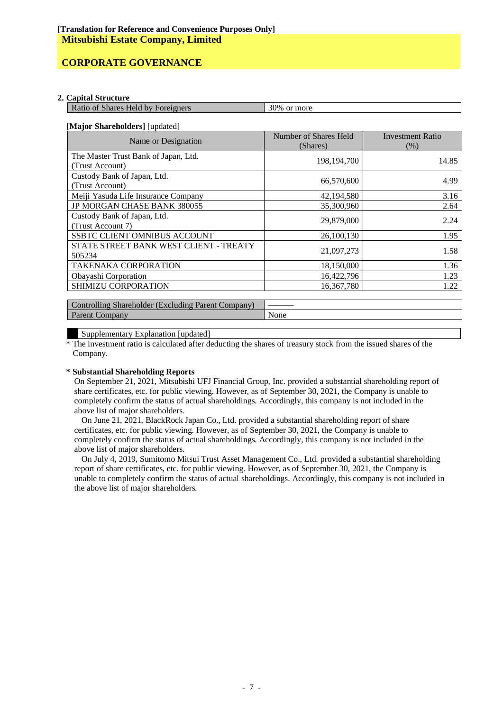#### **2. Capital Structure**

| 1 30% or more<br>Ratio of Shares Held by Foreigners |
|-----------------------------------------------------|
|-----------------------------------------------------|

#### **[Major Shareholders]** [updated]

| Name or Designation                                | Number of Shares Held<br>(Shares) | <b>Investment Ratio</b><br>(% ) |
|----------------------------------------------------|-----------------------------------|---------------------------------|
| The Master Trust Bank of Japan, Ltd.               | 198, 194, 700                     | 14.85                           |
| (Trust Account)                                    |                                   |                                 |
| Custody Bank of Japan, Ltd.                        | 66,570,600                        | 4.99                            |
| (Trust Account)                                    |                                   |                                 |
| Meiji Yasuda Life Insurance Company                | 42,194,580                        | 3.16                            |
| JP MORGAN CHASE BANK 380055                        | 35,300,960                        | 2.64                            |
| Custody Bank of Japan, Ltd.                        |                                   |                                 |
| (Trust Account 7)                                  | 29,879,000                        | 2.24                            |
| <b>SSBTC CLIENT OMNIBUS ACCOUNT</b>                | 26,100,130                        | 1.95                            |
| STATE STREET BANK WEST CLIENT - TREATY             |                                   |                                 |
| 505234                                             | 21,097,273                        | 1.58                            |
| <b>TAKENAKA CORPORATION</b>                        | 18,150,000                        | 1.36                            |
| Obayashi Corporation                               | 16,422,796                        | 1.23                            |
| SHIMIZU CORPORATION                                | 16,367,780                        | 1.22                            |
|                                                    |                                   |                                 |
| Controlling Shareholder (Excluding Parent Company) |                                   |                                 |

#### Supplementary Explanation [updated]

Parent Company None

\* The investment ratio is calculated after deducting the shares of treasury stock from the issued shares of the Company.

#### **\* Substantial Shareholding Reports**

On September 21, 2021, Mitsubishi UFJ Financial Group, Inc. provided a substantial shareholding report of share certificates, etc. for public viewing. However, as of September 30, 2021, the Company is unable to completely confirm the status of actual shareholdings. Accordingly, this company is not included in the above list of major shareholders.

On June 21, 2021, BlackRock Japan Co., Ltd. provided a substantial shareholding report of share certificates, etc. for public viewing. However, as of September 30, 2021, the Company is unable to completely confirm the status of actual shareholdings. Accordingly, this company is not included in the above list of major shareholders.

On July 4, 2019, Sumitomo Mitsui Trust Asset Management Co., Ltd. provided a substantial shareholding report of share certificates, etc. for public viewing. However, as of September 30, 2021, the Company is unable to completely confirm the status of actual shareholdings. Accordingly, this company is not included in the above list of major shareholders.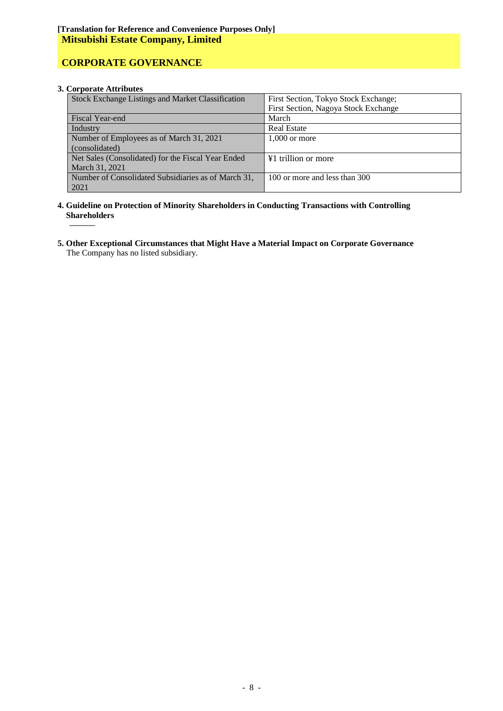# **CORPORATE GOVERNANCE**

### **3. Corporate Attributes**

| Stock Exchange Listings and Market Classification   | First Section, Tokyo Stock Exchange; |
|-----------------------------------------------------|--------------------------------------|
|                                                     | First Section, Nagoya Stock Exchange |
| Fiscal Year-end                                     | March                                |
| Industry                                            | <b>Real Estate</b>                   |
| Number of Employees as of March 31, 2021            | $1,000$ or more                      |
| (consolidated)                                      |                                      |
| Net Sales (Consolidated) for the Fiscal Year Ended  | ¥1 trillion or more                  |
| March 31, 2021                                      |                                      |
| Number of Consolidated Subsidiaries as of March 31, | 100 or more and less than 300        |
| 2021                                                |                                      |

- **4. Guideline on Protection of Minority Shareholders in Conducting Transactions with Controlling Shareholders ———**
- **5. Other Exceptional Circumstances that Might Have a Material Impact on Corporate Governance** The Company has no listed subsidiary.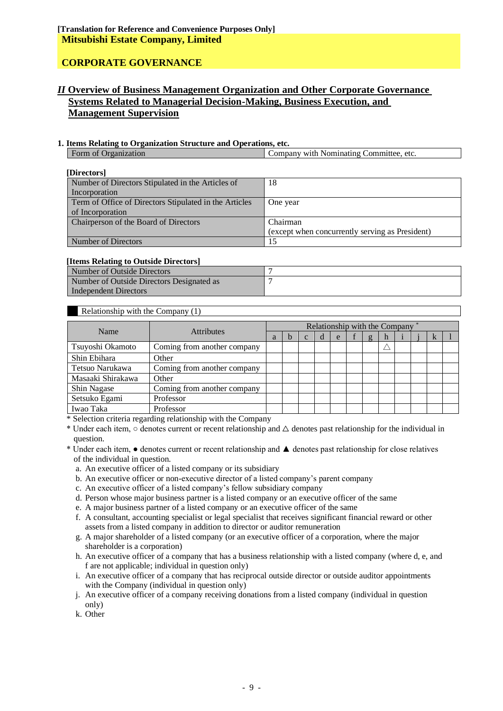# *II* **Overview of Business Management Organization and Other Corporate Governance Systems Related to Managerial Decision-Making, Business Execution, and Management Supervision**

### **1. Items Relating to Organization Structure and Operations, etc.**

| AVVIALU ANVANNALE VU  VA ENIMALINTAVAL LITA MUTHA V NIAM  V IJVA MVAVALUI VTVI |                                         |
|--------------------------------------------------------------------------------|-----------------------------------------|
| $\Omega$ rganization                                                           | Company with Nominating Committee, etc. |
|                                                                                |                                         |

| [Directors]                                            |                                                 |
|--------------------------------------------------------|-------------------------------------------------|
| Number of Directors Stipulated in the Articles of      | 18                                              |
| Incorporation                                          |                                                 |
| Term of Office of Directors Stipulated in the Articles | One year                                        |
| of Incorporation                                       |                                                 |
| Chairperson of the Board of Directors                  | Chairman                                        |
|                                                        | (except when concurrently serving as President) |
| Number of Directors                                    | 15                                              |

#### **[Items Relating to Outside Directors]**

| Number of Outside Directors               |  |
|-------------------------------------------|--|
| Number of Outside Directors Designated as |  |
| Independent Directors                     |  |

### Relationship with the Company (1)

| Name              |                             |   | Relationship with the Company |   |   |   |  |   |   |  |  |   |  |
|-------------------|-----------------------------|---|-------------------------------|---|---|---|--|---|---|--|--|---|--|
|                   | <b>Attributes</b>           | a | h                             | C | d | e |  | g | n |  |  | k |  |
| Tsuyoshi Okamoto  | Coming from another company |   |                               |   |   |   |  |   |   |  |  |   |  |
| Shin Ebihara      | Other                       |   |                               |   |   |   |  |   |   |  |  |   |  |
| Tetsuo Narukawa   | Coming from another company |   |                               |   |   |   |  |   |   |  |  |   |  |
| Masaaki Shirakawa | Other                       |   |                               |   |   |   |  |   |   |  |  |   |  |
| Shin Nagase       | Coming from another company |   |                               |   |   |   |  |   |   |  |  |   |  |
| Setsuko Egami     | Professor                   |   |                               |   |   |   |  |   |   |  |  |   |  |
| Iwao Taka         | Professor                   |   |                               |   |   |   |  |   |   |  |  |   |  |

\* Selection criteria regarding relationship with the Company

\* Under each item,  $\circ$  denotes current or recent relationship and  $\triangle$  denotes past relationship for the individual in question.

\* Under each item, ● denotes current or recent relationship and ▲ denotes past relationship for close relatives of the individual in question.

a. An executive officer of a listed company or its subsidiary

- b. An executive officer or non-executive director of a listed company's parent company
- c. An executive officer of a listed company's fellow subsidiary company
- d. Person whose major business partner is a listed company or an executive officer of the same
- e. A major business partner of a listed company or an executive officer of the same

f. A consultant, accounting specialist or legal specialist that receives significant financial reward or other assets from a listed company in addition to director or auditor remuneration

- g. A major shareholder of a listed company (or an executive officer of a corporation, where the major shareholder is a corporation)
- h. An executive officer of a company that has a business relationship with a listed company (where d, e, and f are not applicable; individual in question only)
- i. An executive officer of a company that has reciprocal outside director or outside auditor appointments with the Company (individual in question only)
- j. An executive officer of a company receiving donations from a listed company (individual in question only)
- k. Other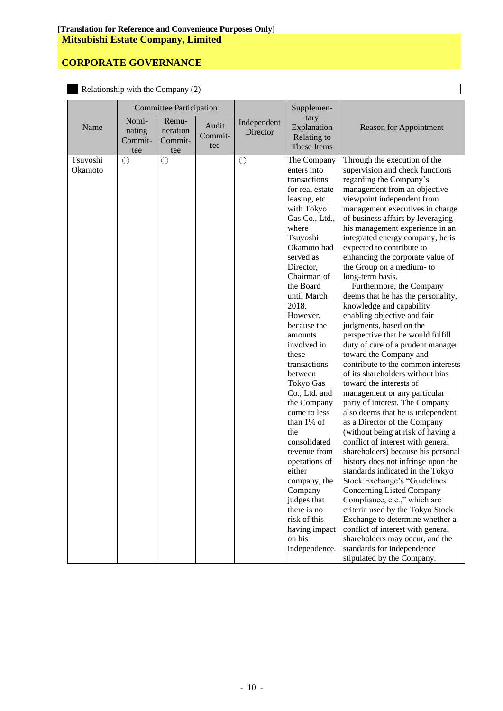| Relationship with the Company (2) |                                   |                                     |                         |                         |                                                                                                                                                                                                                                                                                                                                                                                                                                                                                                                                                                                             |                                                                                                                                                                                                                                                                                                                                                                                                                                                                                                                                                                                                                                                                                                                                                                                                                                                                                                                                                                                                                                                                                                                                                                                                                                                                                                                                                                                                                                     |  |  |
|-----------------------------------|-----------------------------------|-------------------------------------|-------------------------|-------------------------|---------------------------------------------------------------------------------------------------------------------------------------------------------------------------------------------------------------------------------------------------------------------------------------------------------------------------------------------------------------------------------------------------------------------------------------------------------------------------------------------------------------------------------------------------------------------------------------------|-------------------------------------------------------------------------------------------------------------------------------------------------------------------------------------------------------------------------------------------------------------------------------------------------------------------------------------------------------------------------------------------------------------------------------------------------------------------------------------------------------------------------------------------------------------------------------------------------------------------------------------------------------------------------------------------------------------------------------------------------------------------------------------------------------------------------------------------------------------------------------------------------------------------------------------------------------------------------------------------------------------------------------------------------------------------------------------------------------------------------------------------------------------------------------------------------------------------------------------------------------------------------------------------------------------------------------------------------------------------------------------------------------------------------------------|--|--|
|                                   |                                   | <b>Committee Participation</b>      |                         |                         | Supplemen-                                                                                                                                                                                                                                                                                                                                                                                                                                                                                                                                                                                  |                                                                                                                                                                                                                                                                                                                                                                                                                                                                                                                                                                                                                                                                                                                                                                                                                                                                                                                                                                                                                                                                                                                                                                                                                                                                                                                                                                                                                                     |  |  |
| Name                              | Nomi-<br>nating<br>Commit-<br>tee | Remu-<br>neration<br>Commit-<br>tee | Audit<br>Commit-<br>tee | Independent<br>Director | tary<br>Explanation<br>Relating to<br>These Items                                                                                                                                                                                                                                                                                                                                                                                                                                                                                                                                           | <b>Reason for Appointment</b>                                                                                                                                                                                                                                                                                                                                                                                                                                                                                                                                                                                                                                                                                                                                                                                                                                                                                                                                                                                                                                                                                                                                                                                                                                                                                                                                                                                                       |  |  |
| Tsuyoshi<br>Okamoto               | O                                 | $\bigcirc$                          |                         | $\bigcirc$              | The Company<br>enters into<br>transactions<br>for real estate<br>leasing, etc.<br>with Tokyo<br>Gas Co., Ltd.,<br>where<br>Tsuyoshi<br>Okamoto had<br>served as<br>Director,<br>Chairman of<br>the Board<br>until March<br>2018.<br>However,<br>because the<br>amounts<br>involved in<br>these<br>transactions<br>between<br>Tokyo Gas<br>Co., Ltd. and<br>the Company<br>come to less<br>than 1% of<br>the<br>consolidated<br>revenue from<br>operations of<br>either<br>company, the<br>Company<br>judges that<br>there is no<br>risk of this<br>having impact<br>on his<br>independence. | Through the execution of the<br>supervision and check functions<br>regarding the Company's<br>management from an objective<br>viewpoint independent from<br>management executives in charge<br>of business affairs by leveraging<br>his management experience in an<br>integrated energy company, he is<br>expected to contribute to<br>enhancing the corporate value of<br>the Group on a medium-to<br>long-term basis.<br>Furthermore, the Company<br>deems that he has the personality,<br>knowledge and capability<br>enabling objective and fair<br>judgments, based on the<br>perspective that he would fulfill<br>duty of care of a prudent manager<br>toward the Company and<br>contribute to the common interests<br>of its shareholders without bias<br>toward the interests of<br>management or any particular<br>party of interest. The Company<br>also deems that he is independent<br>as a Director of the Company<br>(without being at risk of having a<br>conflict of interest with general<br>shareholders) because his personal<br>history does not infringe upon the<br>standards indicated in the Tokyo<br>Stock Exchange's "Guidelines<br>Concerning Listed Company<br>Compliance, etc.," which are<br>criteria used by the Tokyo Stock<br>Exchange to determine whether a<br>conflict of interest with general<br>shareholders may occur, and the<br>standards for independence<br>stipulated by the Company. |  |  |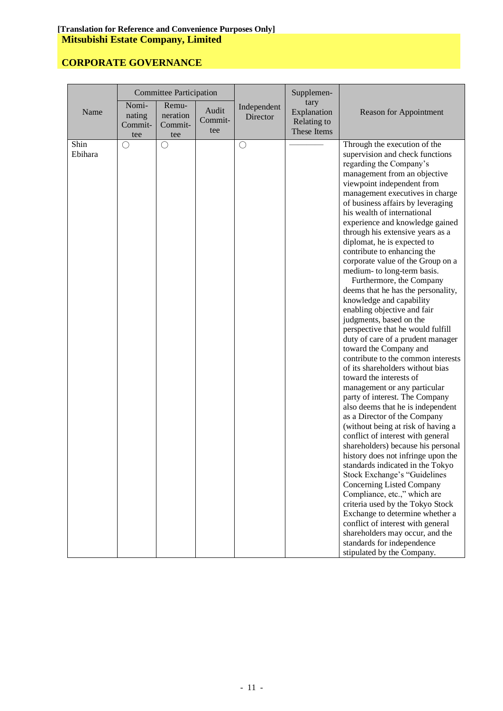|                 | <b>Committee Participation</b>    |                                     |                         | Supplemen-              |                                                   |                                                                                                                                                                                                                                                                                                                                                                                                                                                                                                                                                                                                                                                                                                                                                                                                                                                                                                                                                                                                                                                                                                                                                                                                                                                                                                                                                                                                                                                                                     |
|-----------------|-----------------------------------|-------------------------------------|-------------------------|-------------------------|---------------------------------------------------|-------------------------------------------------------------------------------------------------------------------------------------------------------------------------------------------------------------------------------------------------------------------------------------------------------------------------------------------------------------------------------------------------------------------------------------------------------------------------------------------------------------------------------------------------------------------------------------------------------------------------------------------------------------------------------------------------------------------------------------------------------------------------------------------------------------------------------------------------------------------------------------------------------------------------------------------------------------------------------------------------------------------------------------------------------------------------------------------------------------------------------------------------------------------------------------------------------------------------------------------------------------------------------------------------------------------------------------------------------------------------------------------------------------------------------------------------------------------------------------|
| Name            | Nomi-<br>nating<br>Commit-<br>tee | Remu-<br>neration<br>Commit-<br>tee | Audit<br>Commit-<br>tee | Independent<br>Director | tary<br>Explanation<br>Relating to<br>These Items | <b>Reason for Appointment</b>                                                                                                                                                                                                                                                                                                                                                                                                                                                                                                                                                                                                                                                                                                                                                                                                                                                                                                                                                                                                                                                                                                                                                                                                                                                                                                                                                                                                                                                       |
| Shin<br>Ebihara | $\bigcirc$                        | $\bigcirc$                          |                         | О                       |                                                   | Through the execution of the<br>supervision and check functions<br>regarding the Company's<br>management from an objective<br>viewpoint independent from<br>management executives in charge<br>of business affairs by leveraging<br>his wealth of international<br>experience and knowledge gained<br>through his extensive years as a<br>diplomat, he is expected to<br>contribute to enhancing the<br>corporate value of the Group on a<br>medium- to long-term basis.<br>Furthermore, the Company<br>deems that he has the personality,<br>knowledge and capability<br>enabling objective and fair<br>judgments, based on the<br>perspective that he would fulfill<br>duty of care of a prudent manager<br>toward the Company and<br>contribute to the common interests<br>of its shareholders without bias<br>toward the interests of<br>management or any particular<br>party of interest. The Company<br>also deems that he is independent<br>as a Director of the Company<br>(without being at risk of having a<br>conflict of interest with general<br>shareholders) because his personal<br>history does not infringe upon the<br>standards indicated in the Tokyo<br>Stock Exchange's "Guidelines<br>Concerning Listed Company<br>Compliance, etc.," which are<br>criteria used by the Tokyo Stock<br>Exchange to determine whether a<br>conflict of interest with general<br>shareholders may occur, and the<br>standards for independence<br>stipulated by the Company. |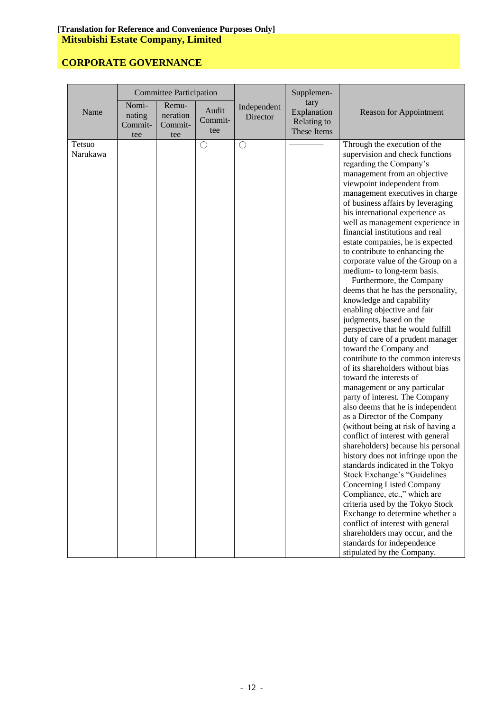|                    | <b>Committee Participation</b>    |                                     |                         | Supplemen-              |                                                   |                                                                                                                                                                                                                                                                                                                                                                                                                                                                                                                                                                                                                                                                                                                                                                                                                                                                                                                                                                                                                                                                                                                                                                                                                                                                                                                                                                                                                                                                                                 |
|--------------------|-----------------------------------|-------------------------------------|-------------------------|-------------------------|---------------------------------------------------|-------------------------------------------------------------------------------------------------------------------------------------------------------------------------------------------------------------------------------------------------------------------------------------------------------------------------------------------------------------------------------------------------------------------------------------------------------------------------------------------------------------------------------------------------------------------------------------------------------------------------------------------------------------------------------------------------------------------------------------------------------------------------------------------------------------------------------------------------------------------------------------------------------------------------------------------------------------------------------------------------------------------------------------------------------------------------------------------------------------------------------------------------------------------------------------------------------------------------------------------------------------------------------------------------------------------------------------------------------------------------------------------------------------------------------------------------------------------------------------------------|
| Name               | Nomi-<br>nating<br>Commit-<br>tee | Remu-<br>neration<br>Commit-<br>tee | Audit<br>Commit-<br>tee | Independent<br>Director | tary<br>Explanation<br>Relating to<br>These Items | <b>Reason for Appointment</b>                                                                                                                                                                                                                                                                                                                                                                                                                                                                                                                                                                                                                                                                                                                                                                                                                                                                                                                                                                                                                                                                                                                                                                                                                                                                                                                                                                                                                                                                   |
| Tetsuo<br>Narukawa |                                   |                                     | $\bigcirc$              | $\bigcirc$              |                                                   | Through the execution of the<br>supervision and check functions<br>regarding the Company's<br>management from an objective<br>viewpoint independent from<br>management executives in charge<br>of business affairs by leveraging<br>his international experience as<br>well as management experience in<br>financial institutions and real<br>estate companies, he is expected<br>to contribute to enhancing the<br>corporate value of the Group on a<br>medium- to long-term basis.<br>Furthermore, the Company<br>deems that he has the personality,<br>knowledge and capability<br>enabling objective and fair<br>judgments, based on the<br>perspective that he would fulfill<br>duty of care of a prudent manager<br>toward the Company and<br>contribute to the common interests<br>of its shareholders without bias<br>toward the interests of<br>management or any particular<br>party of interest. The Company<br>also deems that he is independent<br>as a Director of the Company<br>(without being at risk of having a<br>conflict of interest with general<br>shareholders) because his personal<br>history does not infringe upon the<br>standards indicated in the Tokyo<br>Stock Exchange's "Guidelines<br>Concerning Listed Company<br>Compliance, etc.," which are<br>criteria used by the Tokyo Stock<br>Exchange to determine whether a<br>conflict of interest with general<br>shareholders may occur, and the<br>standards for independence<br>stipulated by the Company. |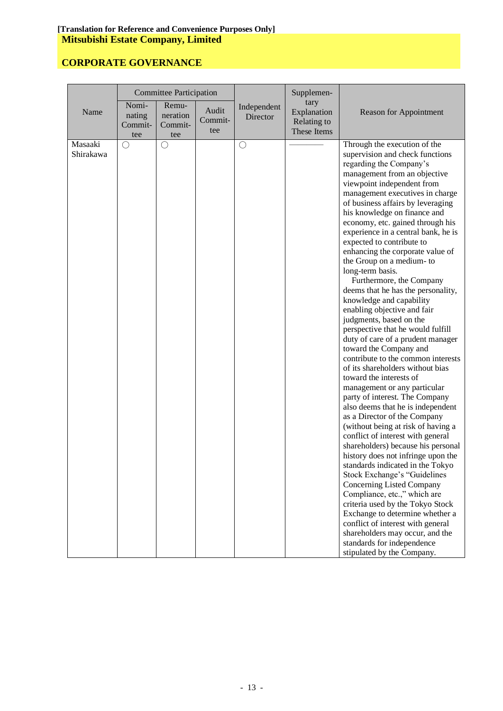|                      | <b>Committee Participation</b>    |                                     |                         | Supplemen-              |                                                   |                                                                                                                                                                                                                                                                                                                                                                                                                                                                                                                                                                                                                                                                                                                                                                                                                                                                                                                                                                                                                                                                                                                                                                                                                                                                                                                                                                                                                                                                         |
|----------------------|-----------------------------------|-------------------------------------|-------------------------|-------------------------|---------------------------------------------------|-------------------------------------------------------------------------------------------------------------------------------------------------------------------------------------------------------------------------------------------------------------------------------------------------------------------------------------------------------------------------------------------------------------------------------------------------------------------------------------------------------------------------------------------------------------------------------------------------------------------------------------------------------------------------------------------------------------------------------------------------------------------------------------------------------------------------------------------------------------------------------------------------------------------------------------------------------------------------------------------------------------------------------------------------------------------------------------------------------------------------------------------------------------------------------------------------------------------------------------------------------------------------------------------------------------------------------------------------------------------------------------------------------------------------------------------------------------------------|
| Name                 | Nomi-<br>nating<br>Commit-<br>tee | Remu-<br>neration<br>Commit-<br>tee | Audit<br>Commit-<br>tee | Independent<br>Director | tary<br>Explanation<br>Relating to<br>These Items | <b>Reason for Appointment</b>                                                                                                                                                                                                                                                                                                                                                                                                                                                                                                                                                                                                                                                                                                                                                                                                                                                                                                                                                                                                                                                                                                                                                                                                                                                                                                                                                                                                                                           |
| Masaaki<br>Shirakawa | $\bigcirc$                        | $\bigcirc$                          |                         | $\bigcirc$              |                                                   | Through the execution of the<br>supervision and check functions<br>regarding the Company's<br>management from an objective<br>viewpoint independent from<br>management executives in charge<br>of business affairs by leveraging<br>his knowledge on finance and<br>economy, etc. gained through his<br>experience in a central bank, he is<br>expected to contribute to<br>enhancing the corporate value of<br>the Group on a medium-to<br>long-term basis.<br>Furthermore, the Company<br>deems that he has the personality,<br>knowledge and capability<br>enabling objective and fair<br>judgments, based on the<br>perspective that he would fulfill<br>duty of care of a prudent manager<br>toward the Company and<br>contribute to the common interests<br>of its shareholders without bias<br>toward the interests of<br>management or any particular<br>party of interest. The Company<br>also deems that he is independent<br>as a Director of the Company<br>(without being at risk of having a<br>conflict of interest with general<br>shareholders) because his personal<br>history does not infringe upon the<br>standards indicated in the Tokyo<br>Stock Exchange's "Guidelines<br>Concerning Listed Company<br>Compliance, etc.," which are<br>criteria used by the Tokyo Stock<br>Exchange to determine whether a<br>conflict of interest with general<br>shareholders may occur, and the<br>standards for independence<br>stipulated by the Company. |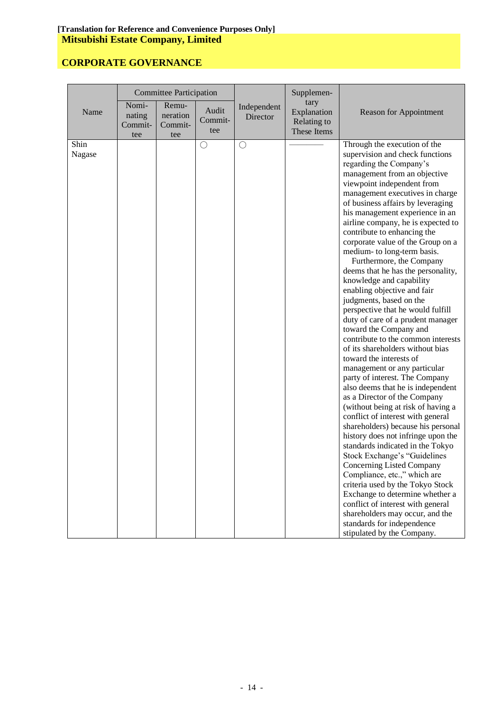|                |                                   | <b>Committee Participation</b>      |                         |                         | Supplemen-                                        |                                                                                                                                                                                                                                                                                                                                                                                                                                                                                                                                                                                                                                                                                                                                                                                                                                                                                                                                                                                                                                                                                                                                                                                                                                                                                                                                                                                                                         |
|----------------|-----------------------------------|-------------------------------------|-------------------------|-------------------------|---------------------------------------------------|-------------------------------------------------------------------------------------------------------------------------------------------------------------------------------------------------------------------------------------------------------------------------------------------------------------------------------------------------------------------------------------------------------------------------------------------------------------------------------------------------------------------------------------------------------------------------------------------------------------------------------------------------------------------------------------------------------------------------------------------------------------------------------------------------------------------------------------------------------------------------------------------------------------------------------------------------------------------------------------------------------------------------------------------------------------------------------------------------------------------------------------------------------------------------------------------------------------------------------------------------------------------------------------------------------------------------------------------------------------------------------------------------------------------------|
| Name           | Nomi-<br>nating<br>Commit-<br>tee | Remu-<br>neration<br>Commit-<br>tee | Audit<br>Commit-<br>tee | Independent<br>Director | tary<br>Explanation<br>Relating to<br>These Items | <b>Reason for Appointment</b>                                                                                                                                                                                                                                                                                                                                                                                                                                                                                                                                                                                                                                                                                                                                                                                                                                                                                                                                                                                                                                                                                                                                                                                                                                                                                                                                                                                           |
| Shin<br>Nagase |                                   |                                     | $\bigcirc$              | $\bigcirc$              |                                                   | Through the execution of the<br>supervision and check functions<br>regarding the Company's<br>management from an objective<br>viewpoint independent from<br>management executives in charge<br>of business affairs by leveraging<br>his management experience in an<br>airline company, he is expected to<br>contribute to enhancing the<br>corporate value of the Group on a<br>medium- to long-term basis.<br>Furthermore, the Company<br>deems that he has the personality,<br>knowledge and capability<br>enabling objective and fair<br>judgments, based on the<br>perspective that he would fulfill<br>duty of care of a prudent manager<br>toward the Company and<br>contribute to the common interests<br>of its shareholders without bias<br>toward the interests of<br>management or any particular<br>party of interest. The Company<br>also deems that he is independent<br>as a Director of the Company<br>(without being at risk of having a<br>conflict of interest with general<br>shareholders) because his personal<br>history does not infringe upon the<br>standards indicated in the Tokyo<br>Stock Exchange's "Guidelines<br>Concerning Listed Company<br>Compliance, etc.," which are<br>criteria used by the Tokyo Stock<br>Exchange to determine whether a<br>conflict of interest with general<br>shareholders may occur, and the<br>standards for independence<br>stipulated by the Company. |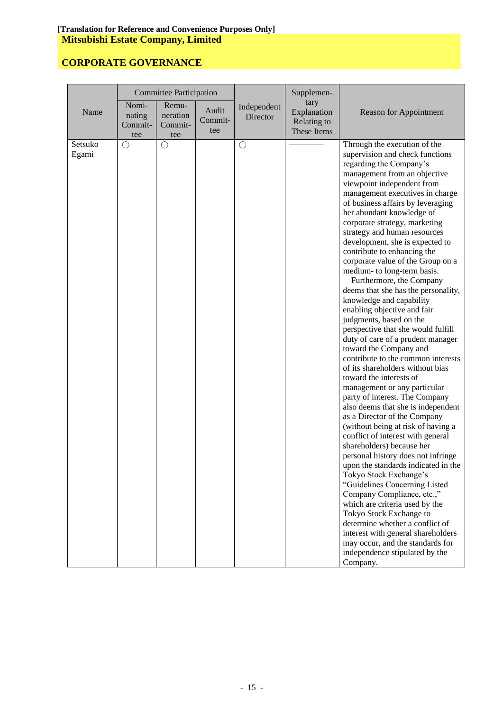|                  |                                   | <b>Committee Participation</b>      |                         |                         | Supplemen-                                        |                                                                                                                                                                                                                                                                                                                                                                                                                                                                                                                                                                                                                                                                                                                                                                                                                                                                                                                                                                                                                                                                                                                                                                                                                                                                                                                                                                                                                                                                                       |
|------------------|-----------------------------------|-------------------------------------|-------------------------|-------------------------|---------------------------------------------------|---------------------------------------------------------------------------------------------------------------------------------------------------------------------------------------------------------------------------------------------------------------------------------------------------------------------------------------------------------------------------------------------------------------------------------------------------------------------------------------------------------------------------------------------------------------------------------------------------------------------------------------------------------------------------------------------------------------------------------------------------------------------------------------------------------------------------------------------------------------------------------------------------------------------------------------------------------------------------------------------------------------------------------------------------------------------------------------------------------------------------------------------------------------------------------------------------------------------------------------------------------------------------------------------------------------------------------------------------------------------------------------------------------------------------------------------------------------------------------------|
| Name             | Nomi-<br>nating<br>Commit-<br>tee | Remu-<br>neration<br>Commit-<br>tee | Audit<br>Commit-<br>tee | Independent<br>Director | tary<br>Explanation<br>Relating to<br>These Items | <b>Reason for Appointment</b>                                                                                                                                                                                                                                                                                                                                                                                                                                                                                                                                                                                                                                                                                                                                                                                                                                                                                                                                                                                                                                                                                                                                                                                                                                                                                                                                                                                                                                                         |
| Setsuko<br>Egami | O                                 | О                                   |                         | O                       |                                                   | Through the execution of the<br>supervision and check functions<br>regarding the Company's<br>management from an objective<br>viewpoint independent from<br>management executives in charge<br>of business affairs by leveraging<br>her abundant knowledge of<br>corporate strategy, marketing<br>strategy and human resources<br>development, she is expected to<br>contribute to enhancing the<br>corporate value of the Group on a<br>medium- to long-term basis.<br>Furthermore, the Company<br>deems that she has the personality,<br>knowledge and capability<br>enabling objective and fair<br>judgments, based on the<br>perspective that she would fulfill<br>duty of care of a prudent manager<br>toward the Company and<br>contribute to the common interests<br>of its shareholders without bias<br>toward the interests of<br>management or any particular<br>party of interest. The Company<br>also deems that she is independent<br>as a Director of the Company<br>(without being at risk of having a<br>conflict of interest with general<br>shareholders) because her<br>personal history does not infringe<br>upon the standards indicated in the<br>Tokyo Stock Exchange's<br>"Guidelines Concerning Listed<br>Company Compliance, etc.,"<br>which are criteria used by the<br>Tokyo Stock Exchange to<br>determine whether a conflict of<br>interest with general shareholders<br>may occur, and the standards for<br>independence stipulated by the<br>Company. |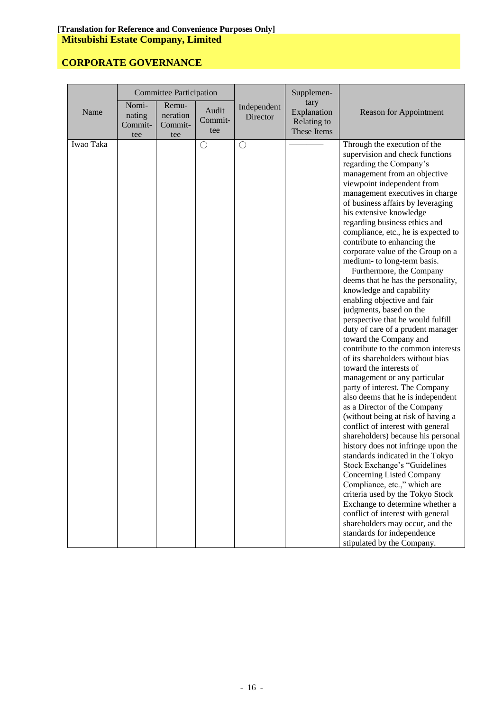|           |                                   | <b>Committee Participation</b>      |                         |                         | Supplemen-                                        |                                                                                                                                                                                                                                                                                                                                                                                                                                                                                                                                                                                                                                                                                                                                                                                                                                                                                                                                                                                                                                                                                                                                                                                                                                                                                                                                                                                                                                                   |
|-----------|-----------------------------------|-------------------------------------|-------------------------|-------------------------|---------------------------------------------------|---------------------------------------------------------------------------------------------------------------------------------------------------------------------------------------------------------------------------------------------------------------------------------------------------------------------------------------------------------------------------------------------------------------------------------------------------------------------------------------------------------------------------------------------------------------------------------------------------------------------------------------------------------------------------------------------------------------------------------------------------------------------------------------------------------------------------------------------------------------------------------------------------------------------------------------------------------------------------------------------------------------------------------------------------------------------------------------------------------------------------------------------------------------------------------------------------------------------------------------------------------------------------------------------------------------------------------------------------------------------------------------------------------------------------------------------------|
| Name      | Nomi-<br>nating<br>Commit-<br>tee | Remu-<br>neration<br>Commit-<br>tee | Audit<br>Commit-<br>tee | Independent<br>Director | tary<br>Explanation<br>Relating to<br>These Items | <b>Reason for Appointment</b>                                                                                                                                                                                                                                                                                                                                                                                                                                                                                                                                                                                                                                                                                                                                                                                                                                                                                                                                                                                                                                                                                                                                                                                                                                                                                                                                                                                                                     |
| Iwao Taka |                                   |                                     | $\bigcirc$              | О                       |                                                   | Through the execution of the<br>supervision and check functions<br>regarding the Company's<br>management from an objective<br>viewpoint independent from<br>management executives in charge<br>of business affairs by leveraging<br>his extensive knowledge<br>regarding business ethics and<br>compliance, etc., he is expected to<br>contribute to enhancing the<br>corporate value of the Group on a<br>medium- to long-term basis.<br>Furthermore, the Company<br>deems that he has the personality,<br>knowledge and capability<br>enabling objective and fair<br>judgments, based on the<br>perspective that he would fulfill<br>duty of care of a prudent manager<br>toward the Company and<br>contribute to the common interests<br>of its shareholders without bias<br>toward the interests of<br>management or any particular<br>party of interest. The Company<br>also deems that he is independent<br>as a Director of the Company<br>(without being at risk of having a<br>conflict of interest with general<br>shareholders) because his personal<br>history does not infringe upon the<br>standards indicated in the Tokyo<br>Stock Exchange's "Guidelines<br>Concerning Listed Company<br>Compliance, etc.," which are<br>criteria used by the Tokyo Stock<br>Exchange to determine whether a<br>conflict of interest with general<br>shareholders may occur, and the<br>standards for independence<br>stipulated by the Company. |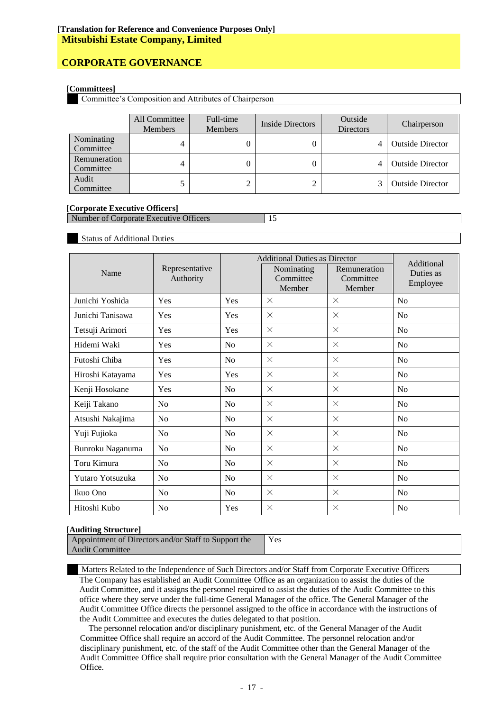# **CORPORATE GOVERNANCE**

#### **[Committees]**

Committee's Composition and Attributes of Chairperson

|                           | All Committee<br><b>Members</b> | Full-time<br><b>Members</b> | Inside Directors | Outside<br><b>Directors</b> | Chairperson             |
|---------------------------|---------------------------------|-----------------------------|------------------|-----------------------------|-------------------------|
| Nominating<br>Committee   | 4                               |                             |                  |                             | <b>Outside Director</b> |
| Remuneration<br>Committee | 4                               |                             |                  |                             | <b>Outside Director</b> |
| Audit<br>Committee        |                                 | 2                           |                  |                             | <b>Outside Director</b> |

#### **[Corporate Executive Officers]**

Number of Corporate Executive Officers 15

#### Status of Additional Duties

|                  |                             |                | <b>Additional Duties as Director</b> |                           |                         |
|------------------|-----------------------------|----------------|--------------------------------------|---------------------------|-------------------------|
| Name             | Representative<br>Authority |                | Nominating<br>Committee              | Remuneration<br>Committee | Additional<br>Duties as |
|                  |                             |                | Member                               | Member                    | Employee                |
| Junichi Yoshida  | Yes                         | Yes            | $\times$                             | $\times$                  | N <sub>0</sub>          |
| Junichi Tanisawa | Yes                         | Yes            | $\times$                             | $\times$                  | N <sub>0</sub>          |
| Tetsuji Arimori  | Yes                         | Yes            | $\times$                             | $\times$                  | No                      |
| Hidemi Waki      | Yes                         | No             | $\times$                             | $\times$                  | No                      |
| Futoshi Chiba    | Yes                         | N <sub>0</sub> | $\times$                             | $\times$                  | N <sub>0</sub>          |
| Hiroshi Katayama | Yes                         | Yes            | $\times$                             | $\times$                  | N <sub>0</sub>          |
| Kenji Hosokane   | Yes                         | <b>No</b>      | $\times$                             | $\times$                  | N <sub>0</sub>          |
| Keiji Takano     | N <sub>o</sub>              | No             | $\times$                             | $\times$                  | No                      |
| Atsushi Nakajima | N <sub>0</sub>              | N <sub>0</sub> | $\times$                             | $\times$                  | N <sub>o</sub>          |
| Yuji Fujioka     | N <sub>0</sub>              | N <sub>o</sub> | $\times$                             | $\times$                  | N <sub>o</sub>          |
| Bunroku Naganuma | No                          | <b>No</b>      | $\times$                             | $\times$                  | No                      |
| Toru Kimura      | N <sub>0</sub>              | N <sub>0</sub> | $\times$                             | $\times$                  | N <sub>0</sub>          |
| Yutaro Yotsuzuka | N <sub>0</sub>              | N <sub>0</sub> | $\times$                             | $\times$                  | N <sub>o</sub>          |
| Ikuo Ono         | N <sub>0</sub>              | N <sub>0</sub> | $\times$                             | $\times$                  | N <sub>o</sub>          |
| Hitoshi Kubo     | N <sub>o</sub>              | Yes            | $\times$                             | $\times$                  | No                      |

#### **[Auditing Structure]**

| Appointment of Directors and/or Staff to Support the | Yes |
|------------------------------------------------------|-----|
| <b>Audit Committee</b>                               |     |

Matters Related to the Independence of Such Directors and/or Staff from Corporate Executive Officers The Company has established an Audit Committee Office as an organization to assist the duties of the Audit Committee, and it assigns the personnel required to assist the duties of the Audit Committee to this office where they serve under the full-time General Manager of the office. The General Manager of the Audit Committee Office directs the personnel assigned to the office in accordance with the instructions of the Audit Committee and executes the duties delegated to that position.

The personnel relocation and/or disciplinary punishment, etc. of the General Manager of the Audit Committee Office shall require an accord of the Audit Committee. The personnel relocation and/or disciplinary punishment, etc. of the staff of the Audit Committee other than the General Manager of the Audit Committee Office shall require prior consultation with the General Manager of the Audit Committee Office.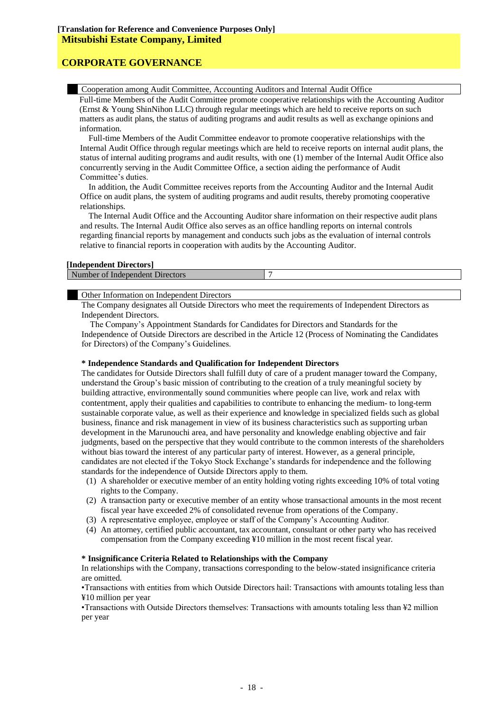Cooperation among Audit Committee, Accounting Auditors and Internal Audit Office

Full-time Members of the Audit Committee promote cooperative relationships with the Accounting Auditor (Ernst & Young ShinNihon LLC) through regular meetings which are held to receive reports on such matters as audit plans, the status of auditing programs and audit results as well as exchange opinions and information.

Full-time Members of the Audit Committee endeavor to promote cooperative relationships with the Internal Audit Office through regular meetings which are held to receive reports on internal audit plans, the status of internal auditing programs and audit results, with one (1) member of the Internal Audit Office also concurrently serving in the Audit Committee Office, a section aiding the performance of Audit Committee's duties.

In addition, the Audit Committee receives reports from the Accounting Auditor and the Internal Audit Office on audit plans, the system of auditing programs and audit results, thereby promoting cooperative relationships.

The Internal Audit Office and the Accounting Auditor share information on their respective audit plans and results. The Internal Audit Office also serves as an office handling reports on internal controls regarding financial reports by management and conducts such jobs as the evaluation of internal controls relative to financial reports in cooperation with audits by the Accounting Auditor.

#### **[Independent Directors]**

| $N_{II}$ | $\sim$<br><b>Independe</b><br>luer<br><b>DIFECTOLS</b><br>ан н<br>. VI |  |
|----------|------------------------------------------------------------------------|--|
|          |                                                                        |  |

Other Information on Independent Directors

The Company designates all Outside Directors who meet the requirements of Independent Directors as Independent Directors.

The Company's Appointment Standards for Candidates for Directors and Standards for the Independence of Outside Directors are described in the Article 12 (Process of Nominating the Candidates for Directors) of the Company's Guidelines.

#### **\* Independence Standards and Qualification for Independent Directors**

The candidates for Outside Directors shall fulfill duty of care of a prudent manager toward the Company, understand the Group's basic mission of contributing to the creation of a truly meaningful society by building attractive, environmentally sound communities where people can live, work and relax with contentment, apply their qualities and capabilities to contribute to enhancing the medium- to long-term sustainable corporate value, as well as their experience and knowledge in specialized fields such as global business, finance and risk management in view of its business characteristics such as supporting urban development in the Marunouchi area, and have personality and knowledge enabling objective and fair judgments, based on the perspective that they would contribute to the common interests of the shareholders without bias toward the interest of any particular party of interest. However, as a general principle, candidates are not elected if the Tokyo Stock Exchange's standards for independence and the following standards for the independence of Outside Directors apply to them.

- (1) A shareholder or executive member of an entity holding voting rights exceeding 10% of total voting rights to the Company.
- (2) A transaction party or executive member of an entity whose transactional amounts in the most recent fiscal year have exceeded 2% of consolidated revenue from operations of the Company.
- (3) A representative employee, employee or staff of the Company's Accounting Auditor.
- (4) An attorney, certified public accountant, tax accountant, consultant or other party who has received compensation from the Company exceeding ¥10 million in the most recent fiscal year.

#### **\* Insignificance Criteria Related to Relationships with the Company**

In relationships with the Company, transactions corresponding to the below-stated insignificance criteria are omitted.

•Transactions with entities from which Outside Directors hail: Transactions with amounts totaling less than ¥10 million per year

•Transactions with Outside Directors themselves: Transactions with amounts totaling less than ¥2 million per year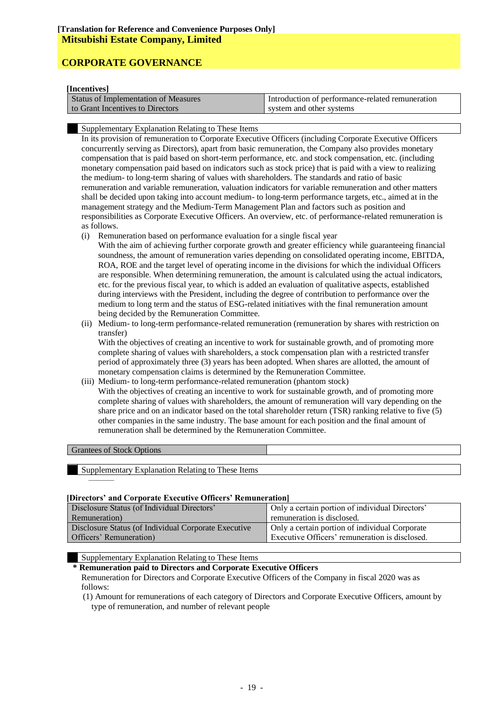#### **[Incentives]**

| шеспи гез                                   |                                                  |
|---------------------------------------------|--------------------------------------------------|
| <b>Status of Implementation of Measures</b> | Introduction of performance-related remuneration |
| to Grant Incentives to Directors            | system and other systems                         |

Supplementary Explanation Relating to These Items

In its provision of remuneration to Corporate Executive Officers (including Corporate Executive Officers concurrently serving as Directors), apart from basic remuneration, the Company also provides monetary compensation that is paid based on short-term performance, etc. and stock compensation, etc. (including monetary compensation paid based on indicators such as stock price) that is paid with a view to realizing the medium- to long-term sharing of values with shareholders. The standards and ratio of basic remuneration and variable remuneration, valuation indicators for variable remuneration and other matters shall be decided upon taking into account medium- to long-term performance targets, etc., aimed at in the management strategy and the Medium-Term Management Plan and factors such as position and responsibilities as Corporate Executive Officers. An overview, etc. of performance-related remuneration is as follows.

(i) Remuneration based on performance evaluation for a single fiscal year

With the aim of achieving further corporate growth and greater efficiency while guaranteeing financial soundness, the amount of remuneration varies depending on consolidated operating income, EBITDA, ROA, ROE and the target level of operating income in the divisions for which the individual Officers are responsible. When determining remuneration, the amount is calculated using the actual indicators, etc. for the previous fiscal year, to which is added an evaluation of qualitative aspects, established during interviews with the President, including the degree of contribution to performance over the medium to long term and the status of ESG-related initiatives with the final remuneration amount being decided by the Remuneration Committee.

(ii) Medium- to long-term performance-related remuneration (remuneration by shares with restriction on transfer)

With the objectives of creating an incentive to work for sustainable growth, and of promoting more complete sharing of values with shareholders, a stock compensation plan with a restricted transfer period of approximately three (3) years has been adopted. When shares are allotted, the amount of monetary compensation claims is determined by the Remuneration Committee.

(iii) Medium- to long-term performance-related remuneration (phantom stock)

With the objectives of creating an incentive to work for sustainable growth, and of promoting more complete sharing of values with shareholders, the amount of remuneration will vary depending on the share price and on an indicator based on the total shareholder return (TSR) ranking relative to five (5) other companies in the same industry. The base amount for each position and the final amount of remuneration shall be determined by the Remuneration Committee.

#### Grantees of Stock Options

———

Supplementary Explanation Relating to These Items

#### **[Directors' and Corporate Executive Officers' Remuneration]**

| Disclosure Status (of Individual Directors'          | Only a certain portion of individual Directors' |
|------------------------------------------------------|-------------------------------------------------|
| Remuneration)                                        | remuneration is disclosed.                      |
| Disclosure Status (of Individual Corporate Executive | Only a certain portion of individual Corporate  |
| Officers' Remuneration)                              | Executive Officers' remuneration is disclosed.  |
|                                                      |                                                 |

#### Supplementary Explanation Relating to These Items

### **\* Remuneration paid to Directors and Corporate Executive Officers**

Remuneration for Directors and Corporate Executive Officers of the Company in fiscal 2020 was as follows:

(1) Amount for remunerations of each category of Directors and Corporate Executive Officers, amount by type of remuneration, and number of relevant people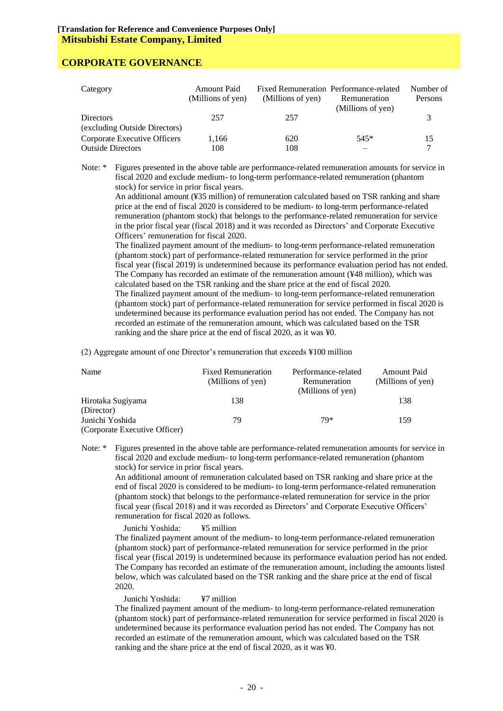| Category                      | Amount Paid<br>(Millions of yen) | (Millions of yen) | Fixed Remuneration Performance-related<br>Remuneration<br>(Millions of yen) | Number of<br>Persons |
|-------------------------------|----------------------------------|-------------------|-----------------------------------------------------------------------------|----------------------|
| <b>Directors</b>              | 257                              | 257               |                                                                             |                      |
| (excluding Outside Directors) |                                  |                   |                                                                             |                      |
| Corporate Executive Officers  | 1,166                            | 620               | $545*$                                                                      | 15                   |
| <b>Outside Directors</b>      | 108                              | 108               |                                                                             |                      |

Note: \* Figures presented in the above table are performance-related remuneration amounts for service in fiscal 2020 and exclude medium- to long-term performance-related remuneration (phantom stock) for service in prior fiscal years.

An additional amount (¥35 million) of remuneration calculated based on TSR ranking and share price at the end of fiscal 2020 is considered to be medium- to long-term performance-related remuneration (phantom stock) that belongs to the performance-related remuneration for service in the prior fiscal year (fiscal 2018) and it was recorded as Directors' and Corporate Executive Officers' remuneration for fiscal 2020.

The finalized payment amount of the medium- to long-term performance-related remuneration (phantom stock) part of performance-related remuneration for service performed in the prior fiscal year (fiscal 2019) is undetermined because its performance evaluation period has not ended. The Company has recorded an estimate of the remuneration amount (¥48 million), which was calculated based on the TSR ranking and the share price at the end of fiscal 2020. The finalized payment amount of the medium- to long-term performance-related remuneration (phantom stock) part of performance-related remuneration for service performed in fiscal 2020 is undetermined because its performance evaluation period has not ended. The Company has not recorded an estimate of the remuneration amount, which was calculated based on the TSR ranking and the share price at the end of fiscal 2020, as it was ¥0.

(2) Aggregate amount of one Director's remuneration that exceeds ¥100 million

| Name                          | <b>Fixed Remuneration</b> | Performance-related | <b>Amount Paid</b> |
|-------------------------------|---------------------------|---------------------|--------------------|
|                               | (Millions of yen)         | Remuneration        | (Millions of yen)  |
|                               |                           | (Millions of yen)   |                    |
| Hirotaka Sugiyama             | 138                       |                     | 138                |
| (Director)                    |                           |                     |                    |
| Junichi Yoshida               | 79                        | $79*$               | 159                |
| (Corporate Executive Officer) |                           |                     |                    |

Note: \* Figures presented in the above table are performance-related remuneration amounts for service in fiscal 2020 and exclude medium- to long-term performance-related remuneration (phantom stock) for service in prior fiscal years.

An additional amount of remuneration calculated based on TSR ranking and share price at the end of fiscal 2020 is considered to be medium- to long-term performance-related remuneration (phantom stock) that belongs to the performance-related remuneration for service in the prior fiscal year (fiscal 2018) and it was recorded as Directors' and Corporate Executive Officers' remuneration for fiscal 2020 as follows.

Junichi Yoshida: ¥5 million

The finalized payment amount of the medium- to long-term performance-related remuneration (phantom stock) part of performance-related remuneration for service performed in the prior fiscal year (fiscal 2019) is undetermined because its performance evaluation period has not ended. The Company has recorded an estimate of the remuneration amount, including the amounts listed below, which was calculated based on the TSR ranking and the share price at the end of fiscal 2020.

Junichi Yoshida: ¥7 million

The finalized payment amount of the medium- to long-term performance-related remuneration (phantom stock) part of performance-related remuneration for service performed in fiscal 2020 is undetermined because its performance evaluation period has not ended. The Company has not recorded an estimate of the remuneration amount, which was calculated based on the TSR ranking and the share price at the end of fiscal 2020, as it was ¥0.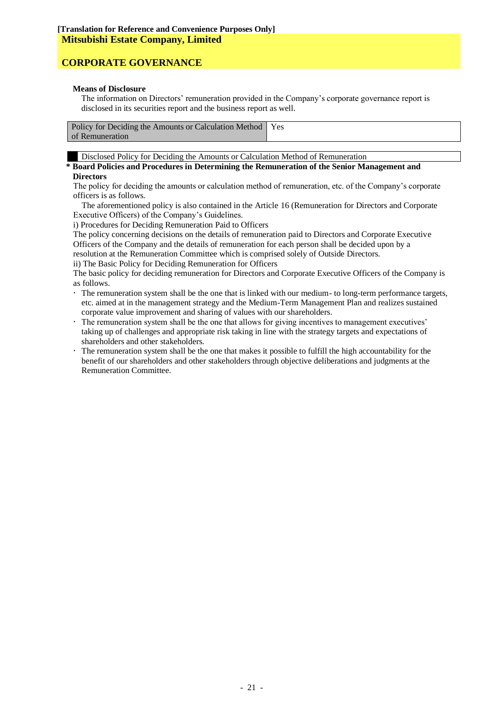#### **Means of Disclosure**

The information on Directors' remuneration provided in the Company's corporate governance report is disclosed in its securities report and the business report as well.

| 'Yes<br>Policy for Deciding the Amounts or Calculation Method<br>of Remuneration |  |
|----------------------------------------------------------------------------------|--|
|----------------------------------------------------------------------------------|--|

Disclosed Policy for Deciding the Amounts or Calculation Method of Remuneration

#### **\* Board Policies and Procedures in Determining the Remuneration of the Senior Management and Directors**

The policy for deciding the amounts or calculation method of remuneration, etc. of the Company's corporate officers is as follows.

The aforementioned policy is also contained in the Article 16 (Remuneration for Directors and Corporate Executive Officers) of the Company's Guidelines.

i) Procedures for Deciding Remuneration Paid to Officers

The policy concerning decisions on the details of remuneration paid to Directors and Corporate Executive Officers of the Company and the details of remuneration for each person shall be decided upon by a resolution at the Remuneration Committee which is comprised solely of Outside Directors.

ii) The Basic Policy for Deciding Remuneration for Officers

The basic policy for deciding remuneration for Directors and Corporate Executive Officers of the Company is as follows.

- The remuneration system shall be the one that is linked with our medium- to long-term performance targets, etc. aimed at in the management strategy and the Medium-Term Management Plan and realizes sustained corporate value improvement and sharing of values with our shareholders.
- The remuneration system shall be the one that allows for giving incentives to management executives' taking up of challenges and appropriate risk taking in line with the strategy targets and expectations of shareholders and other stakeholders.
- The remuneration system shall be the one that makes it possible to fulfill the high accountability for the benefit of our shareholders and other stakeholders through objective deliberations and judgments at the Remuneration Committee.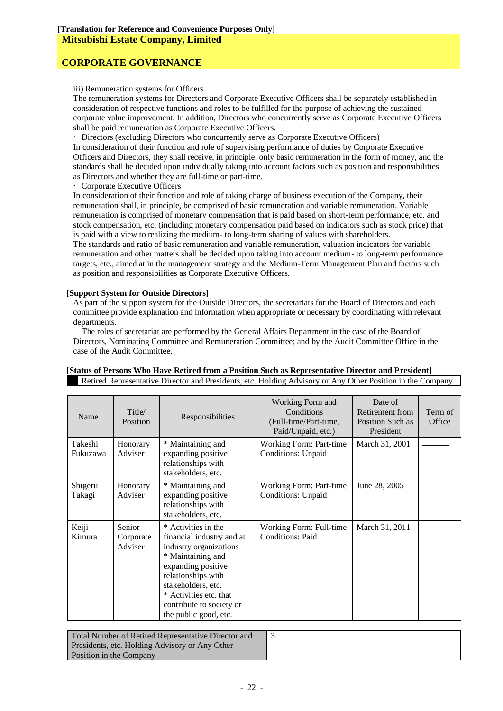iii) Remuneration systems for Officers

The remuneration systems for Directors and Corporate Executive Officers shall be separately established in consideration of respective functions and roles to be fulfilled for the purpose of achieving the sustained corporate value improvement. In addition, Directors who concurrently serve as Corporate Executive Officers shall be paid remuneration as Corporate Executive Officers.

Directors (excluding Directors who concurrently serve as Corporate Executive Officers)

In consideration of their function and role of supervising performance of duties by Corporate Executive Officers and Directors, they shall receive, in principle, only basic remuneration in the form of money, and the standards shall be decided upon individually taking into account factors such as position and responsibilities as Directors and whether they are full-time or part-time.

Corporate Executive Officers

In consideration of their function and role of taking charge of business execution of the Company, their remuneration shall, in principle, be comprised of basic remuneration and variable remuneration. Variable remuneration is comprised of monetary compensation that is paid based on short-term performance, etc. and stock compensation, etc. (including monetary compensation paid based on indicators such as stock price) that is paid with a view to realizing the medium- to long-term sharing of values with shareholders.

The standards and ratio of basic remuneration and variable remuneration, valuation indicators for variable remuneration and other matters shall be decided upon taking into account medium- to long-term performance targets, etc., aimed at in the management strategy and the Medium-Term Management Plan and factors such as position and responsibilities as Corporate Executive Officers.

#### **[Support System for Outside Directors]**

As part of the support system for the Outside Directors, the secretariats for the Board of Directors and each committee provide explanation and information when appropriate or necessary by coordinating with relevant departments.

The roles of secretariat are performed by the General Affairs Department in the case of the Board of Directors, Nominating Committee and Remuneration Committee; and by the Audit Committee Office in the case of the Audit Committee.

| Name                | Title/<br><b>Position</b>      | Responsibilities                                                                                                                                                                                                                                 | Working Form and<br>Conditions<br>(Full-time/Part-time,<br>Paid/Unpaid, etc.) | Date of<br>Retirement from<br>Position Such as<br>President | Term of<br>Office |
|---------------------|--------------------------------|--------------------------------------------------------------------------------------------------------------------------------------------------------------------------------------------------------------------------------------------------|-------------------------------------------------------------------------------|-------------------------------------------------------------|-------------------|
| Takeshi<br>Fukuzawa | Honorary<br>Adviser            | * Maintaining and<br>expanding positive<br>relationships with<br>stakeholders, etc.                                                                                                                                                              | Working Form: Part-time<br><b>Conditions: Unpaid</b>                          | March 31, 2001                                              |                   |
| Shigeru<br>Takagi   | Honorary<br>Adviser            | * Maintaining and<br>expanding positive<br>relationships with<br>stakeholders, etc.                                                                                                                                                              | Working Form: Part-time<br>Conditions: Unpaid                                 | June 28, 2005                                               |                   |
| Keiji<br>Kimura     | Senior<br>Corporate<br>Adviser | * Activities in the<br>financial industry and at<br>industry organizations<br>* Maintaining and<br>expanding positive<br>relationships with<br>stakeholders, etc.<br>* Activities etc. that<br>contribute to society or<br>the public good, etc. | Working Form: Full-time<br><b>Conditions: Paid</b>                            | March 31, 2011                                              |                   |

# **[Status of Persons Who Have Retired from a Position Such as Representative Director and President]**

Retired Representative Director and Presidents, etc. Holding Advisory or Any Other Position in the Company

| Total Number of Retired Representative Director and |  |
|-----------------------------------------------------|--|
| Presidents, etc. Holding Advisory or Any Other      |  |
| Position in the Company                             |  |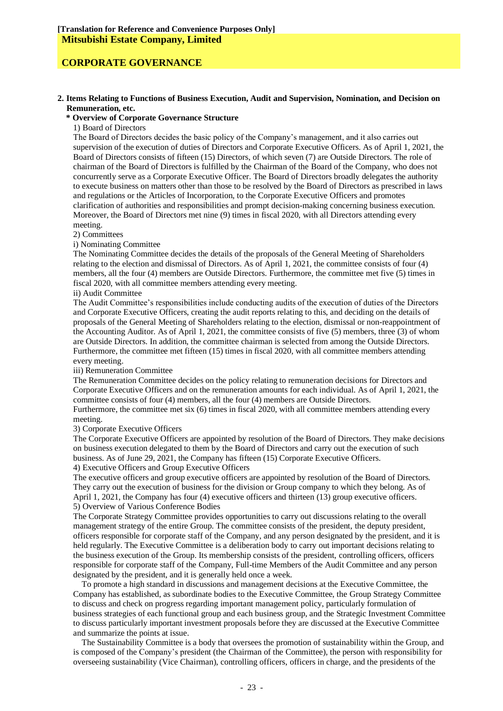#### **2. Items Relating to Functions of Business Execution, Audit and Supervision, Nomination, and Decision on Remuneration, etc.**

#### **\* Overview of Corporate Governance Structure**

1) Board of Directors

The Board of Directors decides the basic policy of the Company's management, and it also carries out supervision of the execution of duties of Directors and Corporate Executive Officers. As of April 1, 2021, the Board of Directors consists of fifteen (15) Directors, of which seven (7) are Outside Directors. The role of chairman of the Board of Directors is fulfilled by the Chairman of the Board of the Company, who does not concurrently serve as a Corporate Executive Officer. The Board of Directors broadly delegates the authority to execute business on matters other than those to be resolved by the Board of Directors as prescribed in laws and regulations or the Articles of Incorporation, to the Corporate Executive Officers and promotes clarification of authorities and responsibilities and prompt decision-making concerning business execution. Moreover, the Board of Directors met nine (9) times in fiscal 2020, with all Directors attending every meeting.

2) Committees

i) Nominating Committee

The Nominating Committee decides the details of the proposals of the General Meeting of Shareholders relating to the election and dismissal of Directors. As of April 1, 2021, the committee consists of four (4) members, all the four (4) members are Outside Directors. Furthermore, the committee met five (5) times in fiscal 2020, with all committee members attending every meeting.

ii) Audit Committee

The Audit Committee's responsibilities include conducting audits of the execution of duties of the Directors and Corporate Executive Officers, creating the audit reports relating to this, and deciding on the details of proposals of the General Meeting of Shareholders relating to the election, dismissal or non-reappointment of the Accounting Auditor. As of April 1, 2021, the committee consists of five (5) members, three (3) of whom are Outside Directors. In addition, the committee chairman is selected from among the Outside Directors. Furthermore, the committee met fifteen (15) times in fiscal 2020, with all committee members attending every meeting.

iii) Remuneration Committee

The Remuneration Committee decides on the policy relating to remuneration decisions for Directors and Corporate Executive Officers and on the remuneration amounts for each individual. As of April 1, 2021, the committee consists of four (4) members, all the four (4) members are Outside Directors.

Furthermore, the committee met six (6) times in fiscal 2020, with all committee members attending every meeting.

3) Corporate Executive Officers

The Corporate Executive Officers are appointed by resolution of the Board of Directors. They make decisions on business execution delegated to them by the Board of Directors and carry out the execution of such business. As of June 29, 2021, the Company has fifteen (15) Corporate Executive Officers. 4) Executive Officers and Group Executive Officers

The executive officers and group executive officers are appointed by resolution of the Board of Directors. They carry out the execution of business for the division or Group company to which they belong. As of April 1, 2021, the Company has four (4) executive officers and thirteen (13) group executive officers. 5) Overview of Various Conference Bodies

The Corporate Strategy Committee provides opportunities to carry out discussions relating to the overall management strategy of the entire Group. The committee consists of the president, the deputy president, officers responsible for corporate staff of the Company, and any person designated by the president, and it is held regularly. The Executive Committee is a deliberation body to carry out important decisions relating to the business execution of the Group. Its membership consists of the president, controlling officers, officers responsible for corporate staff of the Company, Full-time Members of the Audit Committee and any person designated by the president, and it is generally held once a week.

To promote a high standard in discussions and management decisions at the Executive Committee, the Company has established, as subordinate bodies to the Executive Committee, the Group Strategy Committee to discuss and check on progress regarding important management policy, particularly formulation of business strategies of each functional group and each business group, and the Strategic Investment Committee to discuss particularly important investment proposals before they are discussed at the Executive Committee and summarize the points at issue.

The Sustainability Committee is a body that oversees the promotion of sustainability within the Group, and is composed of the Company's president (the Chairman of the Committee), the person with responsibility for overseeing sustainability (Vice Chairman), controlling officers, officers in charge, and the presidents of the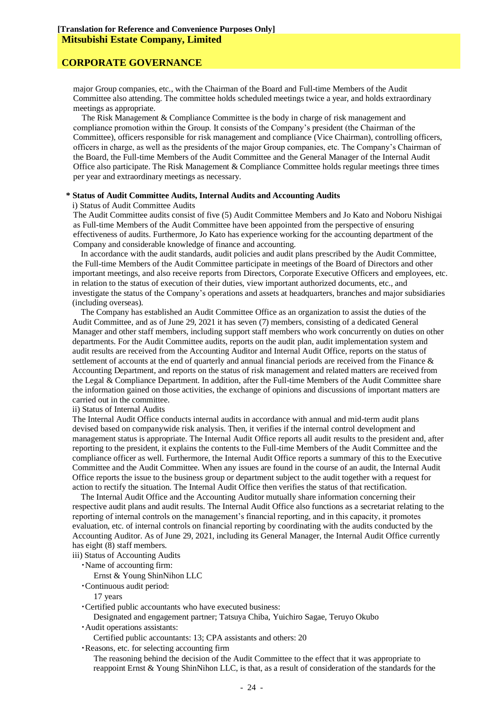### **CORPORATE GOVERNANCE**

major Group companies, etc., with the Chairman of the Board and Full-time Members of the Audit Committee also attending. The committee holds scheduled meetings twice a year, and holds extraordinary meetings as appropriate.

The Risk Management & Compliance Committee is the body in charge of risk management and compliance promotion within the Group. It consists of the Company's president (the Chairman of the Committee), officers responsible for risk management and compliance (Vice Chairman), controlling officers, officers in charge, as well as the presidents of the major Group companies, etc. The Company's Chairman of the Board, the Full-time Members of the Audit Committee and the General Manager of the Internal Audit Office also participate. The Risk Management & Compliance Committee holds regular meetings three times per year and extraordinary meetings as necessary.

#### **\* Status of Audit Committee Audits, Internal Audits and Accounting Audits**

#### i) Status of Audit Committee Audits

The Audit Committee audits consist of five (5) Audit Committee Members and Jo Kato and Noboru Nishigai as Full-time Members of the Audit Committee have been appointed from the perspective of ensuring effectiveness of audits. Furthermore, Jo Kato has experience working for the accounting department of the Company and considerable knowledge of finance and accounting.

In accordance with the audit standards, audit policies and audit plans prescribed by the Audit Committee, the Full-time Members of the Audit Committee participate in meetings of the Board of Directors and other important meetings, and also receive reports from Directors, Corporate Executive Officers and employees, etc. in relation to the status of execution of their duties, view important authorized documents, etc., and investigate the status of the Company's operations and assets at headquarters, branches and major subsidiaries (including overseas).

The Company has established an Audit Committee Office as an organization to assist the duties of the Audit Committee, and as of June 29, 2021 it has seven (7) members, consisting of a dedicated General Manager and other staff members, including support staff members who work concurrently on duties on other departments. For the Audit Committee audits, reports on the audit plan, audit implementation system and audit results are received from the Accounting Auditor and Internal Audit Office, reports on the status of settlement of accounts at the end of quarterly and annual financial periods are received from the Finance & Accounting Department, and reports on the status of risk management and related matters are received from the Legal & Compliance Department. In addition, after the Full-time Members of the Audit Committee share the information gained on those activities, the exchange of opinions and discussions of important matters are carried out in the committee.

ii) Status of Internal Audits

The Internal Audit Office conducts internal audits in accordance with annual and mid-term audit plans devised based on companywide risk analysis. Then, it verifies if the internal control development and management status is appropriate. The Internal Audit Office reports all audit results to the president and, after reporting to the president, it explains the contents to the Full-time Members of the Audit Committee and the compliance officer as well. Furthermore, the Internal Audit Office reports a summary of this to the Executive Committee and the Audit Committee. When any issues are found in the course of an audit, the Internal Audit Office reports the issue to the business group or department subject to the audit together with a request for action to rectify the situation. The Internal Audit Office then verifies the status of that rectification.

The Internal Audit Office and the Accounting Auditor mutually share information concerning their respective audit plans and audit results. The Internal Audit Office also functions as a secretariat relating to the reporting of internal controls on the management's financial reporting, and in this capacity, it promotes evaluation, etc. of internal controls on financial reporting by coordinating with the audits conducted by the Accounting Auditor. As of June 29, 2021, including its General Manager, the Internal Audit Office currently has eight (8) staff members.

iii) Status of Accounting Audits

・Name of accounting firm:

Ernst & Young ShinNihon LLC

・Continuous audit period:

17 years

・Certified public accountants who have executed business:

Designated and engagement partner; Tatsuya Chiba, Yuichiro Sagae, Teruyo Okubo

・Audit operations assistants:

Certified public accountants: 13; CPA assistants and others: 20

・Reasons, etc. for selecting accounting firm

The reasoning behind the decision of the Audit Committee to the effect that it was appropriate to reappoint Ernst & Young ShinNihon LLC, is that, as a result of consideration of the standards for the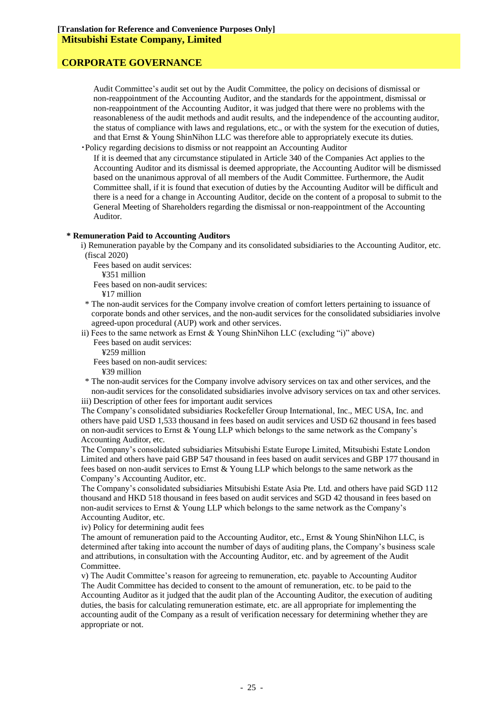Audit Committee's audit set out by the Audit Committee, the policy on decisions of dismissal or non-reappointment of the Accounting Auditor, and the standards for the appointment, dismissal or non-reappointment of the Accounting Auditor, it was judged that there were no problems with the reasonableness of the audit methods and audit results, and the independence of the accounting auditor, the status of compliance with laws and regulations, etc., or with the system for the execution of duties, and that Ernst & Young ShinNihon LLC was therefore able to appropriately execute its duties.

・Policy regarding decisions to dismiss or not reappoint an Accounting Auditor

If it is deemed that any circumstance stipulated in Article 340 of the Companies Act applies to the Accounting Auditor and its dismissal is deemed appropriate, the Accounting Auditor will be dismissed based on the unanimous approval of all members of the Audit Committee. Furthermore, the Audit Committee shall, if it is found that execution of duties by the Accounting Auditor will be difficult and there is a need for a change in Accounting Auditor, decide on the content of a proposal to submit to the General Meeting of Shareholders regarding the dismissal or non-reappointment of the Accounting Auditor.

#### **\* Remuneration Paid to Accounting Auditors**

i) Remuneration payable by the Company and its consolidated subsidiaries to the Accounting Auditor, etc. (fiscal 2020)

Fees based on audit services:

¥351 million

Fees based on non-audit services:

¥17 million

- \* The non-audit services for the Company involve creation of comfort letters pertaining to issuance of corporate bonds and other services, and the non-audit services for the consolidated subsidiaries involve agreed-upon procedural (AUP) work and other services.
- ii) Fees to the same network as Ernst & Young ShinNihon LLC (excluding "i)" above) Fees based on audit services:
	- ¥259 million

Fees based on non-audit services:

¥39 million

\* The non-audit services for the Company involve advisory services on tax and other services, and the non-audit services for the consolidated subsidiaries involve advisory services on tax and other services. iii) Description of other fees for important audit services

The Company's consolidated subsidiaries Rockefeller Group International, Inc., MEC USA, Inc. and others have paid USD 1,533 thousand in fees based on audit services and USD 62 thousand in fees based on non-audit services to Ernst & Young LLP which belongs to the same network as the Company's Accounting Auditor, etc.

The Company's consolidated subsidiaries Mitsubishi Estate Europe Limited, Mitsubishi Estate London Limited and others have paid GBP 547 thousand in fees based on audit services and GBP 177 thousand in fees based on non-audit services to Ernst & Young LLP which belongs to the same network as the Company's Accounting Auditor, etc.

The Company's consolidated subsidiaries Mitsubishi Estate Asia Pte. Ltd. and others have paid SGD 112 thousand and HKD 518 thousand in fees based on audit services and SGD 42 thousand in fees based on non-audit services to Ernst & Young LLP which belongs to the same network as the Company's Accounting Auditor, etc.

iv) Policy for determining audit fees

The amount of remuneration paid to the Accounting Auditor, etc., Ernst & Young ShinNihon LLC, is determined after taking into account the number of days of auditing plans, the Company's business scale and attributions, in consultation with the Accounting Auditor, etc. and by agreement of the Audit Committee.

v) The Audit Committee's reason for agreeing to remuneration, etc. payable to Accounting Auditor The Audit Committee has decided to consent to the amount of remuneration, etc. to be paid to the Accounting Auditor as it judged that the audit plan of the Accounting Auditor, the execution of auditing duties, the basis for calculating remuneration estimate, etc. are all appropriate for implementing the accounting audit of the Company as a result of verification necessary for determining whether they are appropriate or not.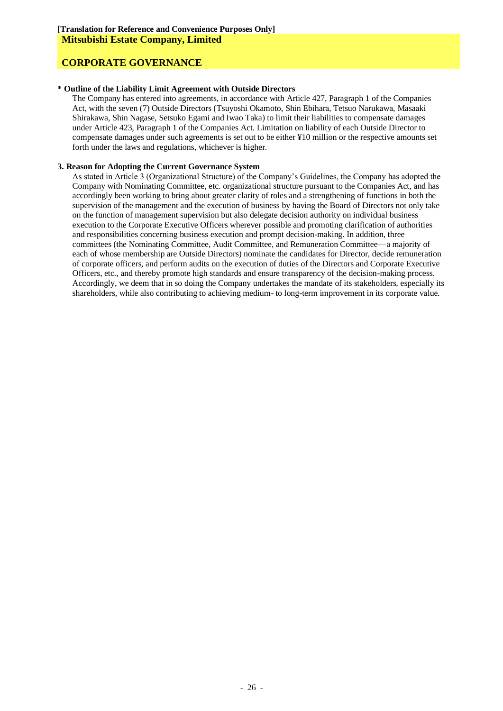#### **\* Outline of the Liability Limit Agreement with Outside Directors**

The Company has entered into agreements, in accordance with Article 427, Paragraph 1 of the Companies Act, with the seven (7) Outside Directors (Tsuyoshi Okamoto, Shin Ebihara, Tetsuo Narukawa, Masaaki Shirakawa, Shin Nagase, Setsuko Egami and Iwao Taka) to limit their liabilities to compensate damages under Article 423, Paragraph 1 of the Companies Act. Limitation on liability of each Outside Director to compensate damages under such agreements is set out to be either ¥10 million or the respective amounts set forth under the laws and regulations, whichever is higher.

#### **3. Reason for Adopting the Current Governance System**

As stated in Article 3 (Organizational Structure) of the Company's Guidelines, the Company has adopted the Company with Nominating Committee, etc. organizational structure pursuant to the Companies Act, and has accordingly been working to bring about greater clarity of roles and a strengthening of functions in both the supervision of the management and the execution of business by having the Board of Directors not only take on the function of management supervision but also delegate decision authority on individual business execution to the Corporate Executive Officers wherever possible and promoting clarification of authorities and responsibilities concerning business execution and prompt decision-making. In addition, three committees (the Nominating Committee, Audit Committee, and Remuneration Committee—a majority of each of whose membership are Outside Directors) nominate the candidates for Director, decide remuneration of corporate officers, and perform audits on the execution of duties of the Directors and Corporate Executive Officers, etc., and thereby promote high standards and ensure transparency of the decision-making process. Accordingly, we deem that in so doing the Company undertakes the mandate of its stakeholders, especially its shareholders, while also contributing to achieving medium- to long-term improvement in its corporate value.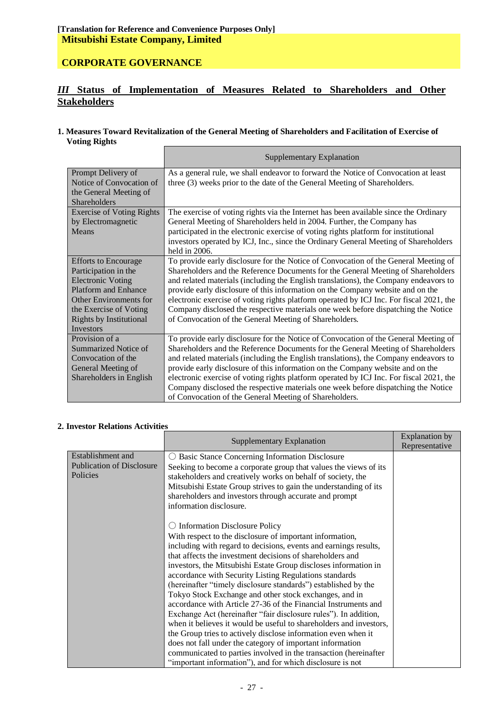# **CORPORATE GOVERNANCE**

# *III* **Status of Implementation of Measures Related to Shareholders and Other Stakeholders**

#### **1. Measures Toward Revitalization of the General Meeting of Shareholders and Facilitation of Exercise of Voting Rights**

|                                  | Supplementary Explanation                                                               |  |  |  |
|----------------------------------|-----------------------------------------------------------------------------------------|--|--|--|
| Prompt Delivery of               | As a general rule, we shall endeavor to forward the Notice of Convocation at least      |  |  |  |
| Notice of Convocation of         | three (3) weeks prior to the date of the General Meeting of Shareholders.               |  |  |  |
| the General Meeting of           |                                                                                         |  |  |  |
| <b>Shareholders</b>              |                                                                                         |  |  |  |
| <b>Exercise of Voting Rights</b> | The exercise of voting rights via the Internet has been available since the Ordinary    |  |  |  |
| by Electromagnetic               | General Meeting of Shareholders held in 2004. Further, the Company has                  |  |  |  |
| Means                            | participated in the electronic exercise of voting rights platform for institutional     |  |  |  |
|                                  | investors operated by ICJ, Inc., since the Ordinary General Meeting of Shareholders     |  |  |  |
|                                  | held in 2006.                                                                           |  |  |  |
| <b>Efforts to Encourage</b>      | To provide early disclosure for the Notice of Convocation of the General Meeting of     |  |  |  |
| Participation in the             | Shareholders and the Reference Documents for the General Meeting of Shareholders        |  |  |  |
| <b>Electronic Voting</b>         | and related materials (including the English translations), the Company endeavors to    |  |  |  |
| <b>Platform and Enhance</b>      | provide early disclosure of this information on the Company website and on the          |  |  |  |
| Other Environments for           | electronic exercise of voting rights platform operated by ICJ Inc. For fiscal 2021, the |  |  |  |
| the Exercise of Voting           | Company disclosed the respective materials one week before dispatching the Notice       |  |  |  |
| <b>Rights by Institutional</b>   | of Convocation of the General Meeting of Shareholders.                                  |  |  |  |
| <b>Investors</b>                 |                                                                                         |  |  |  |
| Provision of a                   | To provide early disclosure for the Notice of Convocation of the General Meeting of     |  |  |  |
| Summarized Notice of             | Shareholders and the Reference Documents for the General Meeting of Shareholders        |  |  |  |
| Convocation of the               | and related materials (including the English translations), the Company endeavors to    |  |  |  |
| General Meeting of               | provide early disclosure of this information on the Company website and on the          |  |  |  |
| Shareholders in English          | electronic exercise of voting rights platform operated by ICJ Inc. For fiscal 2021, the |  |  |  |
|                                  | Company disclosed the respective materials one week before dispatching the Notice       |  |  |  |
|                                  | of Convocation of the General Meeting of Shareholders.                                  |  |  |  |

# **2. Investor Relations Activities**

|                                                                   | Supplementary Explanation                                                                                                                                                                                                                                                                                                                                                                                                                                                                                                                                                                                                                                                                                                                                                                                                                                                                                                                                             | <b>Explanation</b> by<br>Representative |
|-------------------------------------------------------------------|-----------------------------------------------------------------------------------------------------------------------------------------------------------------------------------------------------------------------------------------------------------------------------------------------------------------------------------------------------------------------------------------------------------------------------------------------------------------------------------------------------------------------------------------------------------------------------------------------------------------------------------------------------------------------------------------------------------------------------------------------------------------------------------------------------------------------------------------------------------------------------------------------------------------------------------------------------------------------|-----------------------------------------|
| Establishment and<br><b>Publication of Disclosure</b><br>Policies | Basic Stance Concerning Information Disclosure<br>Seeking to become a corporate group that values the views of its<br>stakeholders and creatively works on behalf of society, the<br>Mitsubishi Estate Group strives to gain the understanding of its<br>shareholders and investors through accurate and prompt<br>information disclosure.                                                                                                                                                                                                                                                                                                                                                                                                                                                                                                                                                                                                                            |                                         |
|                                                                   | <b>Information Disclosure Policy</b><br>With respect to the disclosure of important information,<br>including with regard to decisions, events and earnings results,<br>that affects the investment decisions of shareholders and<br>investors, the Mitsubishi Estate Group discloses information in<br>accordance with Security Listing Regulations standards<br>(hereinafter "timely disclosure standards") established by the<br>Tokyo Stock Exchange and other stock exchanges, and in<br>accordance with Article 27-36 of the Financial Instruments and<br>Exchange Act (hereinafter "fair disclosure rules"). In addition,<br>when it believes it would be useful to shareholders and investors,<br>the Group tries to actively disclose information even when it<br>does not fall under the category of important information<br>communicated to parties involved in the transaction (hereinafter<br>"important information"), and for which disclosure is not |                                         |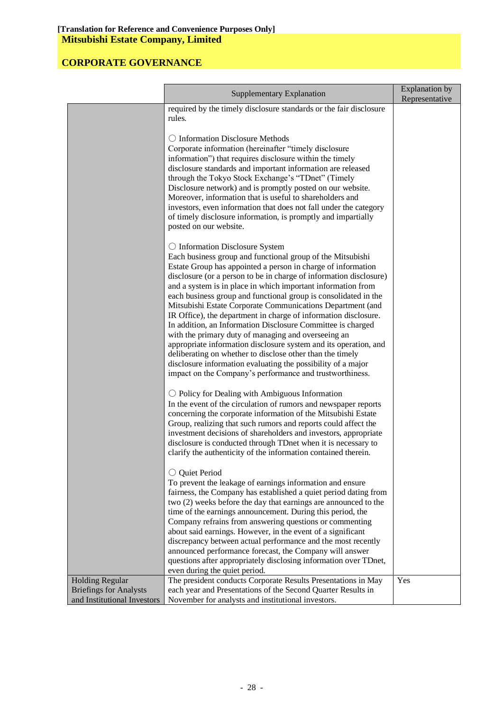|                               | <b>Supplementary Explanation</b>                                                                                              |                |  |
|-------------------------------|-------------------------------------------------------------------------------------------------------------------------------|----------------|--|
|                               |                                                                                                                               | Representative |  |
|                               | required by the timely disclosure standards or the fair disclosure<br>rules.                                                  |                |  |
|                               |                                                                                                                               |                |  |
|                               | ○ Information Disclosure Methods                                                                                              |                |  |
|                               | Corporate information (hereinafter "timely disclosure                                                                         |                |  |
|                               | information") that requires disclosure within the timely                                                                      |                |  |
|                               | disclosure standards and important information are released                                                                   |                |  |
|                               | through the Tokyo Stock Exchange's "TDnet" (Timely                                                                            |                |  |
|                               | Disclosure network) and is promptly posted on our website.                                                                    |                |  |
|                               | Moreover, information that is useful to shareholders and<br>investors, even information that does not fall under the category |                |  |
|                               | of timely disclosure information, is promptly and impartially                                                                 |                |  |
|                               | posted on our website.                                                                                                        |                |  |
|                               |                                                                                                                               |                |  |
|                               | $\bigcirc$ Information Disclosure System                                                                                      |                |  |
|                               | Each business group and functional group of the Mitsubishi                                                                    |                |  |
|                               | Estate Group has appointed a person in charge of information                                                                  |                |  |
|                               | disclosure (or a person to be in charge of information disclosure)                                                            |                |  |
|                               | and a system is in place in which important information from                                                                  |                |  |
|                               | each business group and functional group is consolidated in the<br>Mitsubishi Estate Corporate Communications Department (and |                |  |
|                               | IR Office), the department in charge of information disclosure.                                                               |                |  |
|                               | In addition, an Information Disclosure Committee is charged                                                                   |                |  |
|                               | with the primary duty of managing and overseeing an                                                                           |                |  |
|                               | appropriate information disclosure system and its operation, and                                                              |                |  |
|                               | deliberating on whether to disclose other than the timely                                                                     |                |  |
|                               | disclosure information evaluating the possibility of a major                                                                  |                |  |
|                               | impact on the Company's performance and trustworthiness.                                                                      |                |  |
|                               | $\bigcirc$ Policy for Dealing with Ambiguous Information                                                                      |                |  |
|                               | In the event of the circulation of rumors and newspaper reports                                                               |                |  |
|                               | concerning the corporate information of the Mitsubishi Estate                                                                 |                |  |
|                               | Group, realizing that such rumors and reports could affect the                                                                |                |  |
|                               | investment decisions of shareholders and investors, appropriate                                                               |                |  |
|                               | disclosure is conducted through TDnet when it is necessary to                                                                 |                |  |
|                               | clarify the authenticity of the information contained therein.                                                                |                |  |
|                               | ○ Quiet Period                                                                                                                |                |  |
|                               | To prevent the leakage of earnings information and ensure                                                                     |                |  |
|                               | fairness, the Company has established a quiet period dating from                                                              |                |  |
|                               | two (2) weeks before the day that earnings are announced to the                                                               |                |  |
|                               | time of the earnings announcement. During this period, the                                                                    |                |  |
|                               | Company refrains from answering questions or commenting                                                                       |                |  |
|                               | about said earnings. However, in the event of a significant                                                                   |                |  |
|                               | discrepancy between actual performance and the most recently                                                                  |                |  |
|                               | announced performance forecast, the Company will answer<br>questions after appropriately disclosing information over TDnet,   |                |  |
|                               | even during the quiet period.                                                                                                 |                |  |
| <b>Holding Regular</b>        | The president conducts Corporate Results Presentations in May                                                                 | Yes            |  |
| <b>Briefings for Analysts</b> | each year and Presentations of the Second Quarter Results in                                                                  |                |  |
| and Institutional Investors   | November for analysts and institutional investors.                                                                            |                |  |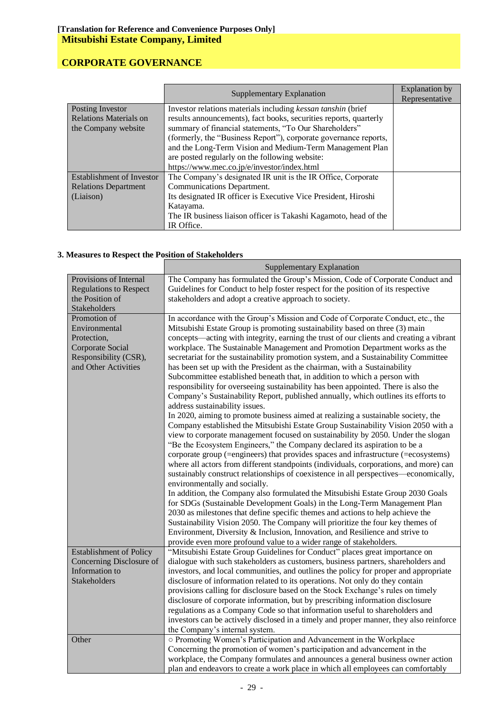|                                                | Supplementary Explanation                                         | Explanation by<br>Representative |
|------------------------------------------------|-------------------------------------------------------------------|----------------------------------|
| Posting Investor                               | Investor relations materials including kessan tanshin (brief      |                                  |
| Relations Materials on                         | results announcements), fact books, securities reports, quarterly |                                  |
| the Company website                            | summary of financial statements, "To Our Shareholders"            |                                  |
|                                                | (formerly, the "Business Report"), corporate governance reports,  |                                  |
|                                                | and the Long-Term Vision and Medium-Term Management Plan          |                                  |
| are posted regularly on the following website: |                                                                   |                                  |
| https://www.mec.co.jp/e/investor/index.html    |                                                                   |                                  |
| Establishment of Investor                      | The Company's designated IR unit is the IR Office, Corporate      |                                  |
| <b>Relations Department</b>                    | Communications Department.                                        |                                  |
| (Liaison)                                      | Its designated IR officer is Executive Vice President, Hiroshi    |                                  |
|                                                | Katayama.                                                         |                                  |
|                                                | The IR business liaison officer is Takashi Kagamoto, head of the  |                                  |
|                                                | IR Office.                                                        |                                  |

### **3. Measures to Respect the Position of Stakeholders**

|                                                                                                                   | <b>Supplementary Explanation</b>                                                                                                                                                                                                                                                                                                                                                                                                                                                                                                                                                                                                                                                                                                                                                                                                                                                                                                                                                                                                                                                                                                                                                                                                                                                                                                                                                                                                                                                                                                                                                                                                                                                                                                                                                                                                                                               |
|-------------------------------------------------------------------------------------------------------------------|--------------------------------------------------------------------------------------------------------------------------------------------------------------------------------------------------------------------------------------------------------------------------------------------------------------------------------------------------------------------------------------------------------------------------------------------------------------------------------------------------------------------------------------------------------------------------------------------------------------------------------------------------------------------------------------------------------------------------------------------------------------------------------------------------------------------------------------------------------------------------------------------------------------------------------------------------------------------------------------------------------------------------------------------------------------------------------------------------------------------------------------------------------------------------------------------------------------------------------------------------------------------------------------------------------------------------------------------------------------------------------------------------------------------------------------------------------------------------------------------------------------------------------------------------------------------------------------------------------------------------------------------------------------------------------------------------------------------------------------------------------------------------------------------------------------------------------------------------------------------------------|
| Provisions of Internal<br><b>Regulations to Respect</b><br>the Position of<br>Stakeholders                        | The Company has formulated the Group's Mission, Code of Corporate Conduct and<br>Guidelines for Conduct to help foster respect for the position of its respective<br>stakeholders and adopt a creative approach to society.                                                                                                                                                                                                                                                                                                                                                                                                                                                                                                                                                                                                                                                                                                                                                                                                                                                                                                                                                                                                                                                                                                                                                                                                                                                                                                                                                                                                                                                                                                                                                                                                                                                    |
| Promotion of<br>Environmental<br>Protection,<br>Corporate Social<br>Responsibility (CSR),<br>and Other Activities | In accordance with the Group's Mission and Code of Corporate Conduct, etc., the<br>Mitsubishi Estate Group is promoting sustainability based on three (3) main<br>concepts—acting with integrity, earning the trust of our clients and creating a vibrant<br>workplace. The Sustainable Management and Promotion Department works as the<br>secretariat for the sustainability promotion system, and a Sustainability Committee<br>has been set up with the President as the chairman, with a Sustainability<br>Subcommittee established beneath that, in addition to which a person with<br>responsibility for overseeing sustainability has been appointed. There is also the<br>Company's Sustainability Report, published annually, which outlines its efforts to<br>address sustainability issues.<br>In 2020, aiming to promote business aimed at realizing a sustainable society, the<br>Company established the Mitsubishi Estate Group Sustainability Vision 2050 with a<br>view to corporate management focused on sustainability by 2050. Under the slogan<br>"Be the Ecosystem Engineers," the Company declared its aspiration to be a<br>corporate group (=engineers) that provides spaces and infrastructure (=ecosystems)<br>where all actors from different standpoints (individuals, corporations, and more) can<br>sustainably construct relationships of coexistence in all perspectives—economically,<br>environmentally and socially.<br>In addition, the Company also formulated the Mitsubishi Estate Group 2030 Goals<br>for SDGs (Sustainable Development Goals) in the Long-Term Management Plan<br>2030 as milestones that define specific themes and actions to help achieve the<br>Sustainability Vision 2050. The Company will prioritize the four key themes of<br>Environment, Diversity & Inclusion, Innovation, and Resilience and strive to |
| <b>Establishment of Policy</b><br>Concerning Disclosure of<br>Information to<br><b>Stakeholders</b>               | provide even more profound value to a wider range of stakeholders.<br>"Mitsubishi Estate Group Guidelines for Conduct" places great importance on<br>dialogue with such stakeholders as customers, business partners, shareholders and<br>investors, and local communities, and outlines the policy for proper and appropriate<br>disclosure of information related to its operations. Not only do they contain<br>provisions calling for disclosure based on the Stock Exchange's rules on timely<br>disclosure of corporate information, but by prescribing information disclosure<br>regulations as a Company Code so that information useful to shareholders and<br>investors can be actively disclosed in a timely and proper manner, they also reinforce<br>the Company's internal system.                                                                                                                                                                                                                                                                                                                                                                                                                                                                                                                                                                                                                                                                                                                                                                                                                                                                                                                                                                                                                                                                               |
| Other                                                                                                             | O Promoting Women's Participation and Advancement in the Workplace<br>Concerning the promotion of women's participation and advancement in the<br>workplace, the Company formulates and announces a general business owner action<br>plan and endeavors to create a work place in which all employees can comfortably                                                                                                                                                                                                                                                                                                                                                                                                                                                                                                                                                                                                                                                                                                                                                                                                                                                                                                                                                                                                                                                                                                                                                                                                                                                                                                                                                                                                                                                                                                                                                          |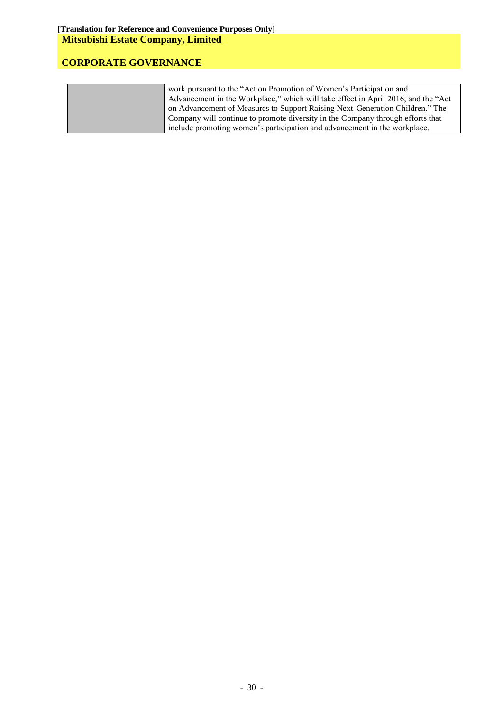| work pursuant to the "Act on Promotion of Women's Participation and                |
|------------------------------------------------------------------------------------|
| Advancement in the Workplace," which will take effect in April 2016, and the "Act" |
| on Advancement of Measures to Support Raising Next-Generation Children." The       |
| Company will continue to promote diversity in the Company through efforts that     |
| include promoting women's participation and advancement in the workplace.          |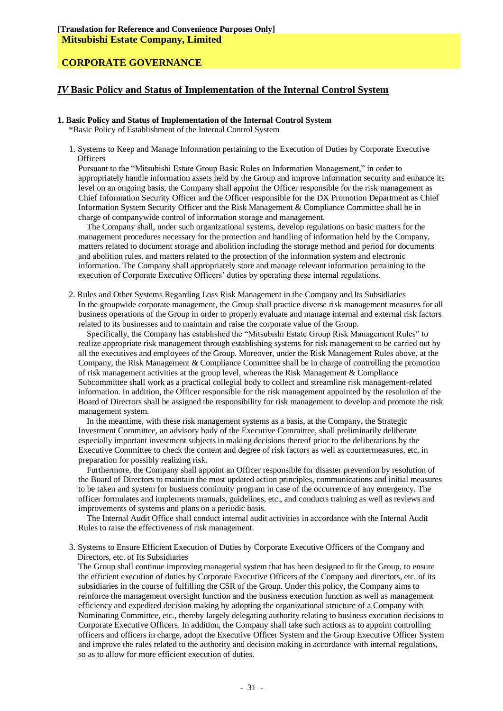### *IV* **Basic Policy and Status of Implementation of the Internal Control System**

#### **1. Basic Policy and Status of Implementation of the Internal Control System**

\*Basic Policy of Establishment of the Internal Control System

1. Systems to Keep and Manage Information pertaining to the Execution of Duties by Corporate Executive **Officers** 

Pursuant to the "Mitsubishi Estate Group Basic Rules on Information Management," in order to appropriately handle information assets held by the Group and improve information security and enhance its level on an ongoing basis, the Company shall appoint the Officer responsible for the risk management as Chief Information Security Officer and the Officer responsible for the DX Promotion Department as Chief Information System Security Officer and the Risk Management & Compliance Committee shall be in charge of companywide control of information storage and management.

The Company shall, under such organizational systems, develop regulations on basic matters for the management procedures necessary for the protection and handling of information held by the Company, matters related to document storage and abolition including the storage method and period for documents and abolition rules, and matters related to the protection of the information system and electronic information. The Company shall appropriately store and manage relevant information pertaining to the execution of Corporate Executive Officers' duties by operating these internal regulations.

2. Rules and Other Systems Regarding Loss Risk Management in the Company and Its Subsidiaries In the groupwide corporate management, the Group shall practice diverse risk management measures for all business operations of the Group in order to properly evaluate and manage internal and external risk factors related to its businesses and to maintain and raise the corporate value of the Group.

Specifically, the Company has established the "Mitsubishi Estate Group Risk Management Rules" to realize appropriate risk management through establishing systems for risk management to be carried out by all the executives and employees of the Group. Moreover, under the Risk Management Rules above, at the Company, the Risk Management & Compliance Committee shall be in charge of controlling the promotion of risk management activities at the group level, whereas the Risk Management & Compliance Subcommittee shall work as a practical collegial body to collect and streamline risk management-related information. In addition, the Officer responsible for the risk management appointed by the resolution of the Board of Directors shall be assigned the responsibility for risk management to develop and promote the risk management system.

In the meantime, with these risk management systems as a basis, at the Company, the Strategic Investment Committee, an advisory body of the Executive Committee, shall preliminarily deliberate especially important investment subjects in making decisions thereof prior to the deliberations by the Executive Committee to check the content and degree of risk factors as well as countermeasures, etc. in preparation for possibly realizing risk.

Furthermore, the Company shall appoint an Officer responsible for disaster prevention by resolution of the Board of Directors to maintain the most updated action principles, communications and initial measures to be taken and system for business continuity program in case of the occurrence of any emergency. The officer formulates and implements manuals, guidelines, etc., and conducts training as well as reviews and improvements of systems and plans on a periodic basis.

The Internal Audit Office shall conduct internal audit activities in accordance with the Internal Audit Rules to raise the effectiveness of risk management.

3. Systems to Ensure Efficient Execution of Duties by Corporate Executive Officers of the Company and Directors, etc. of Its Subsidiaries

The Group shall continue improving managerial system that has been designed to fit the Group, to ensure the efficient execution of duties by Corporate Executive Officers of the Company and directors, etc. of its subsidiaries in the course of fulfilling the CSR of the Group. Under this policy, the Company aims to reinforce the management oversight function and the business execution function as well as management efficiency and expedited decision making by adopting the organizational structure of a Company with Nominating Committee, etc., thereby largely delegating authority relating to business execution decisions to Corporate Executive Officers. In addition, the Company shall take such actions as to appoint controlling officers and officers in charge, adopt the Executive Officer System and the Group Executive Officer System and improve the rules related to the authority and decision making in accordance with internal regulations, so as to allow for more efficient execution of duties.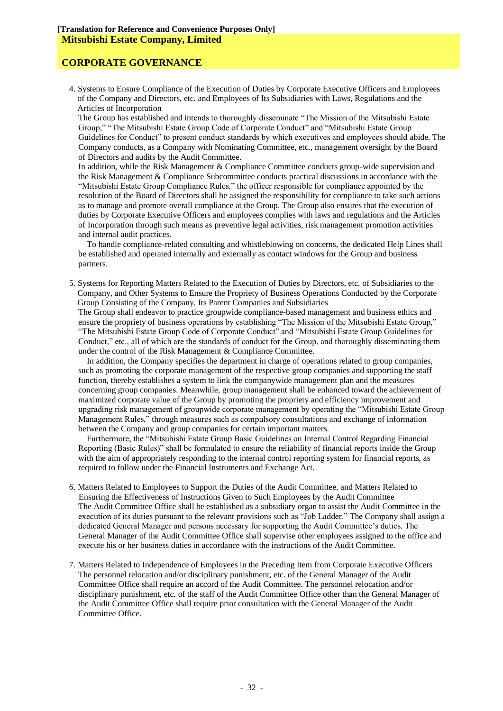## **CORPORATE GOVERNANCE**

4. Systems to Ensure Compliance of the Execution of Duties by Corporate Executive Officers and Employees of the Company and Directors, etc. and Employees of Its Subsidiaries with Laws, Regulations and the Articles of Incorporation

The Group has established and intends to thoroughly disseminate "The Mission of the Mitsubishi Estate Group," "The Mitsubishi Estate Group Code of Corporate Conduct" and "Mitsubishi Estate Group Guidelines for Conduct" to present conduct standards by which executives and employees should abide. The Company conducts, as a Company with Nominating Committee, etc., management oversight by the Board of Directors and audits by the Audit Committee.

In addition, while the Risk Management & Compliance Committee conducts group-wide supervision and the Risk Management & Compliance Subcommittee conducts practical discussions in accordance with the "Mitsubishi Estate Group Compliance Rules," the officer responsible for compliance appointed by the resolution of the Board of Directors shall be assigned the responsibility for compliance to take such actions as to manage and promote overall compliance at the Group. The Group also ensures that the execution of duties by Corporate Executive Officers and employees complies with laws and regulations and the Articles of Incorporation through such means as preventive legal activities, risk management promotion activities and internal audit practices.

To handle compliance-related consulting and whistleblowing on concerns, the dedicated Help Lines shall be established and operated internally and externally as contact windows for the Group and business partners.

5. Systems for Reporting Matters Related to the Execution of Duties by Directors, etc. of Subsidiaries to the Company, and Other Systems to Ensure the Propriety of Business Operations Conducted by the Corporate Group Consisting of the Company, Its Parent Companies and Subsidiaries

The Group shall endeavor to practice groupwide compliance-based management and business ethics and ensure the propriety of business operations by establishing "The Mission of the Mitsubishi Estate Group," "The Mitsubishi Estate Group Code of Corporate Conduct" and "Mitsubishi Estate Group Guidelines for Conduct," etc., all of which are the standards of conduct for the Group, and thoroughly disseminating them under the control of the Risk Management & Compliance Committee.

In addition, the Company specifies the department in charge of operations related to group companies, such as promoting the corporate management of the respective group companies and supporting the staff function, thereby establishes a system to link the companywide management plan and the measures concerning group companies. Meanwhile, group management shall be enhanced toward the achievement of maximized corporate value of the Group by promoting the propriety and efficiency improvement and upgrading risk management of groupwide corporate management by operating the "Mitsubishi Estate Group Management Rules," through measures such as compulsory consultations and exchange of information between the Company and group companies for certain important matters.

Furthermore, the "Mitsubishi Estate Group Basic Guidelines on Internal Control Regarding Financial Reporting (Basic Rules)" shall be formulated to ensure the reliability of financial reports inside the Group with the aim of appropriately responding to the internal control reporting system for financial reports, as required to follow under the Financial Instruments and Exchange Act.

- 6. Matters Related to Employees to Support the Duties of the Audit Committee, and Matters Related to Ensuring the Effectiveness of Instructions Given to Such Employees by the Audit Committee The Audit Committee Office shall be established as a subsidiary organ to assist the Audit Committee in the execution of its duties pursuant to the relevant provisions such as "Job Ladder." The Company shall assign a dedicated General Manager and persons necessary for supporting the Audit Committee's duties. The General Manager of the Audit Committee Office shall supervise other employees assigned to the office and execute his or her business duties in accordance with the instructions of the Audit Committee.
- 7. Matters Related to Independence of Employees in the Preceding Item from Corporate Executive Officers The personnel relocation and/or disciplinary punishment, etc. of the General Manager of the Audit Committee Office shall require an accord of the Audit Committee. The personnel relocation and/or disciplinary punishment, etc. of the staff of the Audit Committee Office other than the General Manager of the Audit Committee Office shall require prior consultation with the General Manager of the Audit Committee Office.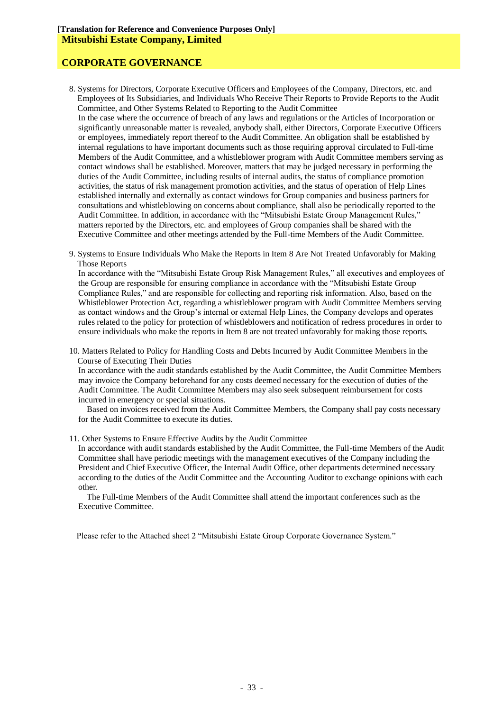# **CORPORATE GOVERNANCE**

- 8. Systems for Directors, Corporate Executive Officers and Employees of the Company, Directors, etc. and Employees of Its Subsidiaries, and Individuals Who Receive Their Reports to Provide Reports to the Audit Committee, and Other Systems Related to Reporting to the Audit Committee In the case where the occurrence of breach of any laws and regulations or the Articles of Incorporation or significantly unreasonable matter is revealed, anybody shall, either Directors, Corporate Executive Officers or employees, immediately report thereof to the Audit Committee. An obligation shall be established by internal regulations to have important documents such as those requiring approval circulated to Full-time Members of the Audit Committee, and a whistleblower program with Audit Committee members serving as contact windows shall be established. Moreover, matters that may be judged necessary in performing the duties of the Audit Committee, including results of internal audits, the status of compliance promotion activities, the status of risk management promotion activities, and the status of operation of Help Lines established internally and externally as contact windows for Group companies and business partners for consultations and whistleblowing on concerns about compliance, shall also be periodically reported to the Audit Committee. In addition, in accordance with the "Mitsubishi Estate Group Management Rules," matters reported by the Directors, etc. and employees of Group companies shall be shared with the Executive Committee and other meetings attended by the Full-time Members of the Audit Committee.
- 9. Systems to Ensure Individuals Who Make the Reports in Item 8 Are Not Treated Unfavorably for Making Those Reports

In accordance with the "Mitsubishi Estate Group Risk Management Rules," all executives and employees of the Group are responsible for ensuring compliance in accordance with the "Mitsubishi Estate Group Compliance Rules," and are responsible for collecting and reporting risk information. Also, based on the Whistleblower Protection Act, regarding a whistleblower program with Audit Committee Members serving as contact windows and the Group's internal or external Help Lines, the Company develops and operates rules related to the policy for protection of whistleblowers and notification of redress procedures in order to ensure individuals who make the reports in Item 8 are not treated unfavorably for making those reports.

10. Matters Related to Policy for Handling Costs and Debts Incurred by Audit Committee Members in the Course of Executing Their Duties

In accordance with the audit standards established by the Audit Committee, the Audit Committee Members may invoice the Company beforehand for any costs deemed necessary for the execution of duties of the Audit Committee. The Audit Committee Members may also seek subsequent reimbursement for costs incurred in emergency or special situations.

Based on invoices received from the Audit Committee Members, the Company shall pay costs necessary for the Audit Committee to execute its duties.

11. Other Systems to Ensure Effective Audits by the Audit Committee

In accordance with audit standards established by the Audit Committee, the Full-time Members of the Audit Committee shall have periodic meetings with the management executives of the Company including the President and Chief Executive Officer, the Internal Audit Office, other departments determined necessary according to the duties of the Audit Committee and the Accounting Auditor to exchange opinions with each other.

The Full-time Members of the Audit Committee shall attend the important conferences such as the Executive Committee.

Please refer to the Attached sheet 2 "Mitsubishi Estate Group Corporate Governance System."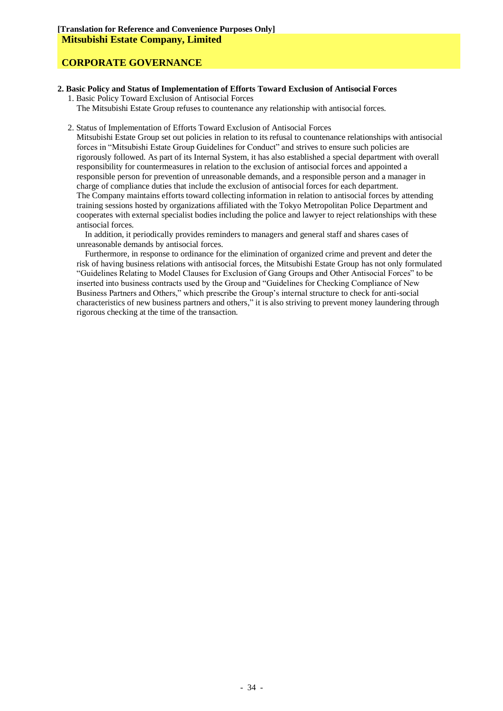### **2. Basic Policy and Status of Implementation of Efforts Toward Exclusion of Antisocial Forces**

1. Basic Policy Toward Exclusion of Antisocial Forces The Mitsubishi Estate Group refuses to countenance any relationship with antisocial forces.

#### 2. Status of Implementation of Efforts Toward Exclusion of Antisocial Forces

Mitsubishi Estate Group set out policies in relation to its refusal to countenance relationships with antisocial forces in "Mitsubishi Estate Group Guidelines for Conduct" and strives to ensure such policies are rigorously followed. As part of its Internal System, it has also established a special department with overall responsibility for countermeasures in relation to the exclusion of antisocial forces and appointed a responsible person for prevention of unreasonable demands, and a responsible person and a manager in charge of compliance duties that include the exclusion of antisocial forces for each department. The Company maintains efforts toward collecting information in relation to antisocial forces by attending training sessions hosted by organizations affiliated with the Tokyo Metropolitan Police Department and cooperates with external specialist bodies including the police and lawyer to reject relationships with these antisocial forces.

In addition, it periodically provides reminders to managers and general staff and shares cases of unreasonable demands by antisocial forces.

Furthermore, in response to ordinance for the elimination of organized crime and prevent and deter the risk of having business relations with antisocial forces, the Mitsubishi Estate Group has not only formulated "Guidelines Relating to Model Clauses for Exclusion of Gang Groups and Other Antisocial Forces" to be inserted into business contracts used by the Group and "Guidelines for Checking Compliance of New Business Partners and Others," which prescribe the Group's internal structure to check for anti-social characteristics of new business partners and others," it is also striving to prevent money laundering through rigorous checking at the time of the transaction.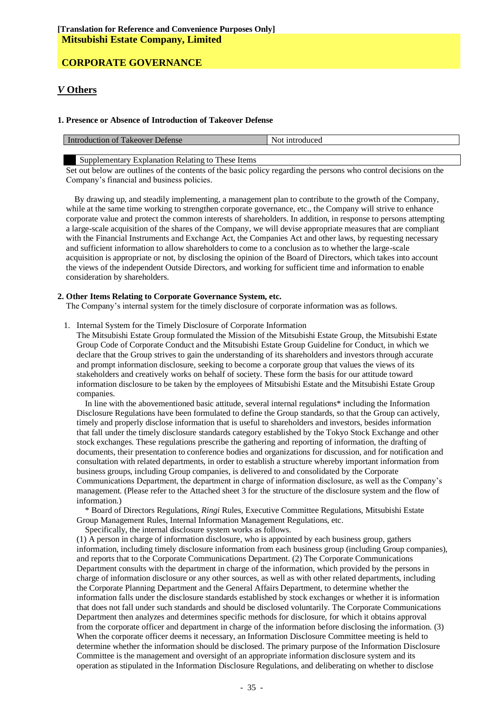### *V* **Others**

#### **1. Presence or Absence of Introduction of Takeover Defense**

| Int                   | -introduceo |
|-----------------------|-------------|
| Defense               | Not         |
| roduction of Takeover | ,,,         |
|                       |             |

Supplementary Explanation Relating to These Items

Set out below are outlines of the contents of the basic policy regarding the persons who control decisions on the Company's financial and business policies.

By drawing up, and steadily implementing, a management plan to contribute to the growth of the Company, while at the same time working to strengthen corporate governance, etc., the Company will strive to enhance corporate value and protect the common interests of shareholders. In addition, in response to persons attempting a large-scale acquisition of the shares of the Company, we will devise appropriate measures that are compliant with the Financial Instruments and Exchange Act, the Companies Act and other laws, by requesting necessary and sufficient information to allow shareholders to come to a conclusion as to whether the large-scale acquisition is appropriate or not, by disclosing the opinion of the Board of Directors, which takes into account the views of the independent Outside Directors, and working for sufficient time and information to enable consideration by shareholders.

#### **2. Other Items Relating to Corporate Governance System, etc.**

The Company's internal system for the timely disclosure of corporate information was as follows.

1. Internal System for the Timely Disclosure of Corporate Information

The Mitsubishi Estate Group formulated the Mission of the Mitsubishi Estate Group, the Mitsubishi Estate Group Code of Corporate Conduct and the Mitsubishi Estate Group Guideline for Conduct, in which we declare that the Group strives to gain the understanding of its shareholders and investors through accurate and prompt information disclosure, seeking to become a corporate group that values the views of its stakeholders and creatively works on behalf of society. These form the basis for our attitude toward information disclosure to be taken by the employees of Mitsubishi Estate and the Mitsubishi Estate Group companies.

In line with the abovementioned basic attitude, several internal regulations\* including the Information Disclosure Regulations have been formulated to define the Group standards, so that the Group can actively, timely and properly disclose information that is useful to shareholders and investors, besides information that fall under the timely disclosure standards category established by the Tokyo Stock Exchange and other stock exchanges. These regulations prescribe the gathering and reporting of information, the drafting of documents, their presentation to conference bodies and organizations for discussion, and for notification and consultation with related departments, in order to establish a structure whereby important information from business groups, including Group companies, is delivered to and consolidated by the Corporate Communications Department, the department in charge of information disclosure, as well as the Company's management. (Please refer to the Attached sheet 3 for the structure of the disclosure system and the flow of information.)

\* Board of Directors Regulations, *Ringi* Rules, Executive Committee Regulations, Mitsubishi Estate Group Management Rules, Internal Information Management Regulations, etc.

Specifically, the internal disclosure system works as follows.

(1) A person in charge of information disclosure, who is appointed by each business group, gathers information, including timely disclosure information from each business group (including Group companies), and reports that to the Corporate Communications Department. (2) The Corporate Communications Department consults with the department in charge of the information, which provided by the persons in charge of information disclosure or any other sources, as well as with other related departments, including the Corporate Planning Department and the General Affairs Department, to determine whether the information falls under the disclosure standards established by stock exchanges or whether it is information that does not fall under such standards and should be disclosed voluntarily. The Corporate Communications Department then analyzes and determines specific methods for disclosure, for which it obtains approval from the corporate officer and department in charge of the information before disclosing the information. (3) When the corporate officer deems it necessary, an Information Disclosure Committee meeting is held to determine whether the information should be disclosed. The primary purpose of the Information Disclosure Committee is the management and oversight of an appropriate information disclosure system and its operation as stipulated in the Information Disclosure Regulations, and deliberating on whether to disclose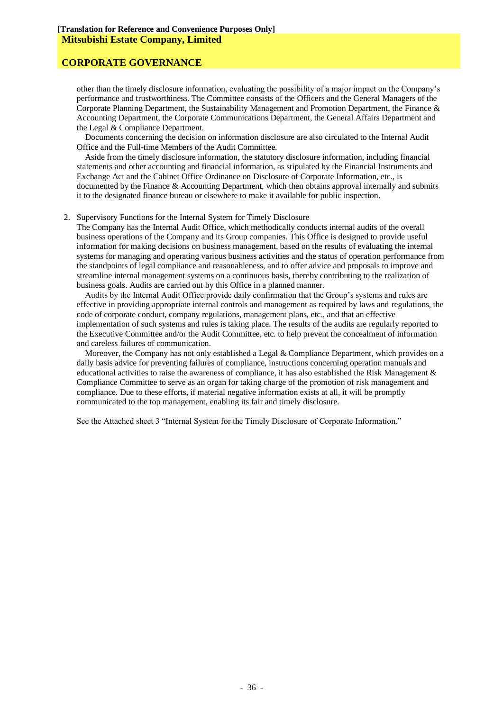other than the timely disclosure information, evaluating the possibility of a major impact on the Company's performance and trustworthiness. The Committee consists of the Officers and the General Managers of the Corporate Planning Department, the Sustainability Management and Promotion Department, the Finance & Accounting Department, the Corporate Communications Department, the General Affairs Department and the Legal & Compliance Department.

Documents concerning the decision on information disclosure are also circulated to the Internal Audit Office and the Full-time Members of the Audit Committee.

Aside from the timely disclosure information, the statutory disclosure information, including financial statements and other accounting and financial information, as stipulated by the Financial Instruments and Exchange Act and the Cabinet Office Ordinance on Disclosure of Corporate Information, etc., is documented by the Finance & Accounting Department, which then obtains approval internally and submits it to the designated finance bureau or elsewhere to make it available for public inspection.

#### 2. Supervisory Functions for the Internal System for Timely Disclosure

The Company has the Internal Audit Office, which methodically conducts internal audits of the overall business operations of the Company and its Group companies. This Office is designed to provide useful information for making decisions on business management, based on the results of evaluating the internal systems for managing and operating various business activities and the status of operation performance from the standpoints of legal compliance and reasonableness, and to offer advice and proposals to improve and streamline internal management systems on a continuous basis, thereby contributing to the realization of business goals. Audits are carried out by this Office in a planned manner.

Audits by the Internal Audit Office provide daily confirmation that the Group's systems and rules are effective in providing appropriate internal controls and management as required by laws and regulations, the code of corporate conduct, company regulations, management plans, etc., and that an effective implementation of such systems and rules is taking place. The results of the audits are regularly reported to the Executive Committee and/or the Audit Committee, etc. to help prevent the concealment of information and careless failures of communication.

Moreover, the Company has not only established a Legal & Compliance Department, which provides on a daily basis advice for preventing failures of compliance, instructions concerning operation manuals and educational activities to raise the awareness of compliance, it has also established the Risk Management & Compliance Committee to serve as an organ for taking charge of the promotion of risk management and compliance. Due to these efforts, if material negative information exists at all, it will be promptly communicated to the top management, enabling its fair and timely disclosure.

See the Attached sheet 3 "Internal System for the Timely Disclosure of Corporate Information."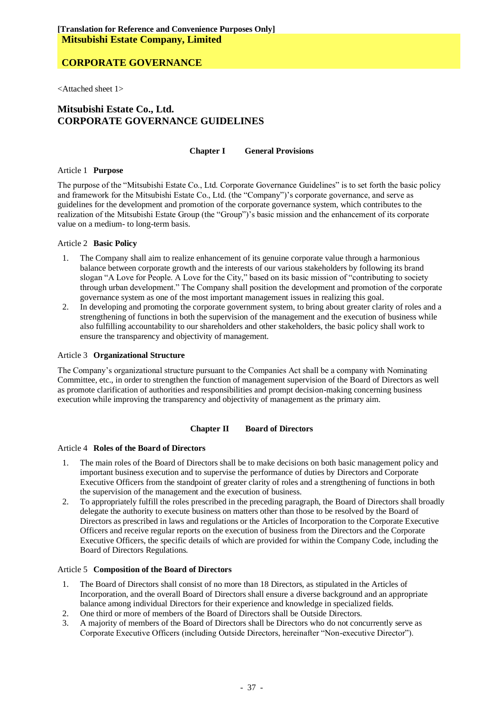<Attached sheet 1>

## **Mitsubishi Estate Co., Ltd. CORPORATE GOVERNANCE GUIDELINES**

#### **Chapter I General Provisions**

#### Article 1 **Purpose**

The purpose of the "Mitsubishi Estate Co., Ltd. Corporate Governance Guidelines" is to set forth the basic policy and framework for the Mitsubishi Estate Co., Ltd. (the "Company")'s corporate governance, and serve as guidelines for the development and promotion of the corporate governance system, which contributes to the realization of the Mitsubishi Estate Group (the "Group")'s basic mission and the enhancement of its corporate value on a medium- to long-term basis.

#### Article 2 **Basic Policy**

- 1. The Company shall aim to realize enhancement of its genuine corporate value through a harmonious balance between corporate growth and the interests of our various stakeholders by following its brand slogan "A Love for People. A Love for the City," based on its basic mission of "contributing to society through urban development." The Company shall position the development and promotion of the corporate governance system as one of the most important management issues in realizing this goal.
- 2. In developing and promoting the corporate government system, to bring about greater clarity of roles and a strengthening of functions in both the supervision of the management and the execution of business while also fulfilling accountability to our shareholders and other stakeholders, the basic policy shall work to ensure the transparency and objectivity of management.

#### Article 3 **Organizational Structure**

The Company's organizational structure pursuant to the Companies Act shall be a company with Nominating Committee, etc., in order to strengthen the function of management supervision of the Board of Directors as well as promote clarification of authorities and responsibilities and prompt decision-making concerning business execution while improving the transparency and objectivity of management as the primary aim.

### **Chapter II Board of Directors**

#### Article 4 **Roles of the Board of Directors**

- 1. The main roles of the Board of Directors shall be to make decisions on both basic management policy and important business execution and to supervise the performance of duties by Directors and Corporate Executive Officers from the standpoint of greater clarity of roles and a strengthening of functions in both the supervision of the management and the execution of business.
- 2. To appropriately fulfill the roles prescribed in the preceding paragraph, the Board of Directors shall broadly delegate the authority to execute business on matters other than those to be resolved by the Board of Directors as prescribed in laws and regulations or the Articles of Incorporation to the Corporate Executive Officers and receive regular reports on the execution of business from the Directors and the Corporate Executive Officers, the specific details of which are provided for within the Company Code, including the Board of Directors Regulations.

#### Article 5 **Composition of the Board of Directors**

- 1. The Board of Directors shall consist of no more than 18 Directors, as stipulated in the Articles of Incorporation, and the overall Board of Directors shall ensure a diverse background and an appropriate balance among individual Directors for their experience and knowledge in specialized fields.
- 2. One third or more of members of the Board of Directors shall be Outside Directors.
- 3. A majority of members of the Board of Directors shall be Directors who do not concurrently serve as Corporate Executive Officers (including Outside Directors, hereinafter "Non-executive Director").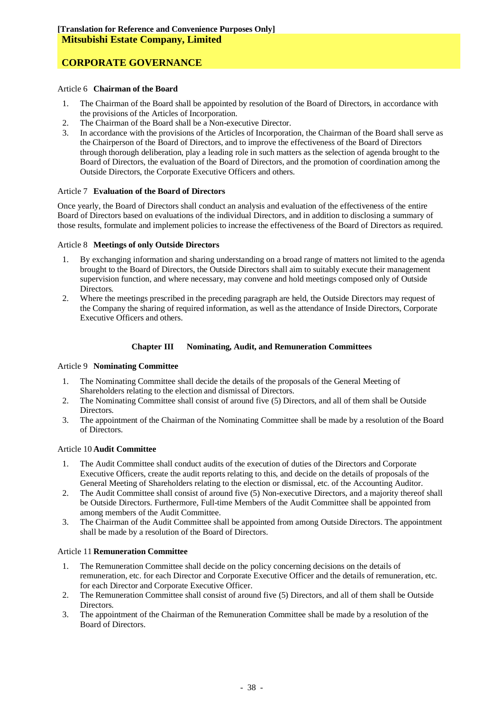#### Article 6 **Chairman of the Board**

- 1. The Chairman of the Board shall be appointed by resolution of the Board of Directors, in accordance with the provisions of the Articles of Incorporation.
- 2. The Chairman of the Board shall be a Non-executive Director.
- 3. In accordance with the provisions of the Articles of Incorporation, the Chairman of the Board shall serve as the Chairperson of the Board of Directors, and to improve the effectiveness of the Board of Directors through thorough deliberation, play a leading role in such matters as the selection of agenda brought to the Board of Directors, the evaluation of the Board of Directors, and the promotion of coordination among the Outside Directors, the Corporate Executive Officers and others.

#### Article 7 **Evaluation of the Board of Directors**

Once yearly, the Board of Directors shall conduct an analysis and evaluation of the effectiveness of the entire Board of Directors based on evaluations of the individual Directors, and in addition to disclosing a summary of those results, formulate and implement policies to increase the effectiveness of the Board of Directors as required.

#### Article 8 **Meetings of only Outside Directors**

- 1. By exchanging information and sharing understanding on a broad range of matters not limited to the agenda brought to the Board of Directors, the Outside Directors shall aim to suitably execute their management supervision function, and where necessary, may convene and hold meetings composed only of Outside Directors.
- 2. Where the meetings prescribed in the preceding paragraph are held, the Outside Directors may request of the Company the sharing of required information, as well as the attendance of Inside Directors, Corporate Executive Officers and others.

#### **Chapter III Nominating, Audit, and Remuneration Committees**

#### Article 9 **Nominating Committee**

- 1. The Nominating Committee shall decide the details of the proposals of the General Meeting of Shareholders relating to the election and dismissal of Directors.
- 2. The Nominating Committee shall consist of around five (5) Directors, and all of them shall be Outside Directors.
- 3. The appointment of the Chairman of the Nominating Committee shall be made by a resolution of the Board of Directors.

### Article 10 **Audit Committee**

- 1. The Audit Committee shall conduct audits of the execution of duties of the Directors and Corporate Executive Officers, create the audit reports relating to this, and decide on the details of proposals of the General Meeting of Shareholders relating to the election or dismissal, etc. of the Accounting Auditor.
- 2. The Audit Committee shall consist of around five (5) Non-executive Directors, and a majority thereof shall be Outside Directors. Furthermore, Full-time Members of the Audit Committee shall be appointed from among members of the Audit Committee.
- 3. The Chairman of the Audit Committee shall be appointed from among Outside Directors. The appointment shall be made by a resolution of the Board of Directors.

#### Article 11 **Remuneration Committee**

- 1. The Remuneration Committee shall decide on the policy concerning decisions on the details of remuneration, etc. for each Director and Corporate Executive Officer and the details of remuneration, etc. for each Director and Corporate Executive Officer.
- 2. The Remuneration Committee shall consist of around five (5) Directors, and all of them shall be Outside **Directors**
- 3. The appointment of the Chairman of the Remuneration Committee shall be made by a resolution of the Board of Directors.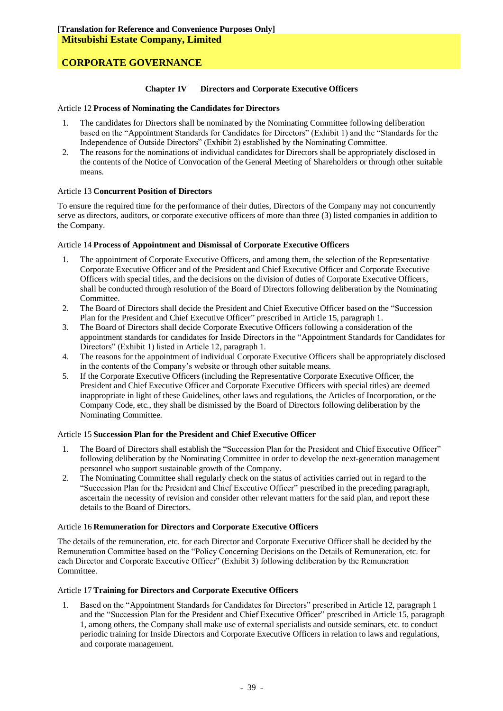#### **Chapter IV Directors and Corporate Executive Officers**

#### Article 12 **Process of Nominating the Candidates for Directors**

- 1. The candidates for Directors shall be nominated by the Nominating Committee following deliberation based on the "Appointment Standards for Candidates for Directors" (Exhibit 1) and the "Standards for the Independence of Outside Directors" (Exhibit 2) established by the Nominating Committee.
- 2. The reasons for the nominations of individual candidates for Directors shall be appropriately disclosed in the contents of the Notice of Convocation of the General Meeting of Shareholders or through other suitable means.

#### Article 13 **Concurrent Position of Directors**

To ensure the required time for the performance of their duties, Directors of the Company may not concurrently serve as directors, auditors, or corporate executive officers of more than three (3) listed companies in addition to the Company.

#### Article 14 **Process of Appointment and Dismissal of Corporate Executive Officers**

- 1. The appointment of Corporate Executive Officers, and among them, the selection of the Representative Corporate Executive Officer and of the President and Chief Executive Officer and Corporate Executive Officers with special titles, and the decisions on the division of duties of Corporate Executive Officers, shall be conducted through resolution of the Board of Directors following deliberation by the Nominating Committee.
- 2. The Board of Directors shall decide the President and Chief Executive Officer based on the "Succession Plan for the President and Chief Executive Officer" prescribed in Article 15, paragraph 1.
- 3. The Board of Directors shall decide Corporate Executive Officers following a consideration of the appointment standards for candidates for Inside Directors in the "Appointment Standards for Candidates for Directors" (Exhibit 1) listed in Article 12, paragraph 1.
- 4. The reasons for the appointment of individual Corporate Executive Officers shall be appropriately disclosed in the contents of the Company's website or through other suitable means.
- 5. If the Corporate Executive Officers (including the Representative Corporate Executive Officer, the President and Chief Executive Officer and Corporate Executive Officers with special titles) are deemed inappropriate in light of these Guidelines, other laws and regulations, the Articles of Incorporation, or the Company Code, etc., they shall be dismissed by the Board of Directors following deliberation by the Nominating Committee.

#### Article 15 **Succession Plan for the President and Chief Executive Officer**

- 1. The Board of Directors shall establish the "Succession Plan for the President and Chief Executive Officer" following deliberation by the Nominating Committee in order to develop the next-generation management personnel who support sustainable growth of the Company.
- 2. The Nominating Committee shall regularly check on the status of activities carried out in regard to the "Succession Plan for the President and Chief Executive Officer" prescribed in the preceding paragraph, ascertain the necessity of revision and consider other relevant matters for the said plan, and report these details to the Board of Directors.

#### Article 16 **Remuneration for Directors and Corporate Executive Officers**

The details of the remuneration, etc. for each Director and Corporate Executive Officer shall be decided by the Remuneration Committee based on the "Policy Concerning Decisions on the Details of Remuneration, etc. for each Director and Corporate Executive Officer" (Exhibit 3) following deliberation by the Remuneration Committee.

#### Article 17 **Training for Directors and Corporate Executive Officers**

1. Based on the "Appointment Standards for Candidates for Directors" prescribed in Article 12, paragraph 1 and the "Succession Plan for the President and Chief Executive Officer" prescribed in Article 15, paragraph 1, among others, the Company shall make use of external specialists and outside seminars, etc. to conduct periodic training for Inside Directors and Corporate Executive Officers in relation to laws and regulations, and corporate management.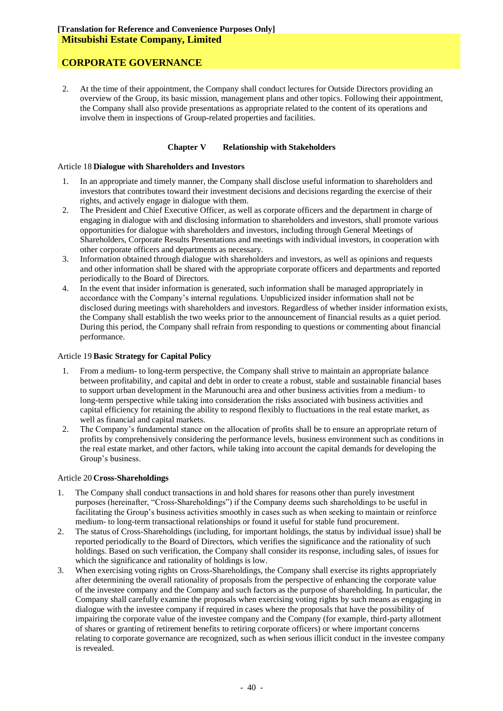# **CORPORATE GOVERNANCE**

2. At the time of their appointment, the Company shall conduct lectures for Outside Directors providing an overview of the Group, its basic mission, management plans and other topics. Following their appointment, the Company shall also provide presentations as appropriate related to the content of its operations and involve them in inspections of Group-related properties and facilities.

#### **Chapter V Relationship with Stakeholders**

#### Article 18 **Dialogue with Shareholders and Investors**

- 1. In an appropriate and timely manner, the Company shall disclose useful information to shareholders and investors that contributes toward their investment decisions and decisions regarding the exercise of their rights, and actively engage in dialogue with them.
- 2. The President and Chief Executive Officer, as well as corporate officers and the department in charge of engaging in dialogue with and disclosing information to shareholders and investors, shall promote various opportunities for dialogue with shareholders and investors, including through General Meetings of Shareholders, Corporate Results Presentations and meetings with individual investors, in cooperation with other corporate officers and departments as necessary.
- 3. Information obtained through dialogue with shareholders and investors, as well as opinions and requests and other information shall be shared with the appropriate corporate officers and departments and reported periodically to the Board of Directors.
- 4. In the event that insider information is generated, such information shall be managed appropriately in accordance with the Company's internal regulations. Unpublicized insider information shall not be disclosed during meetings with shareholders and investors. Regardless of whether insider information exists, the Company shall establish the two weeks prior to the announcement of financial results as a quiet period. During this period, the Company shall refrain from responding to questions or commenting about financial performance.

### Article 19 **Basic Strategy for Capital Policy**

- 1. From a medium- to long-term perspective, the Company shall strive to maintain an appropriate balance between profitability, and capital and debt in order to create a robust, stable and sustainable financial bases to support urban development in the Marunouchi area and other business activities from a medium- to long-term perspective while taking into consideration the risks associated with business activities and capital efficiency for retaining the ability to respond flexibly to fluctuations in the real estate market, as well as financial and capital markets.
- 2. The Company's fundamental stance on the allocation of profits shall be to ensure an appropriate return of profits by comprehensively considering the performance levels, business environment such as conditions in the real estate market, and other factors, while taking into account the capital demands for developing the Group's business.

#### Article 20 **Cross-Shareholdings**

- 1. The Company shall conduct transactions in and hold shares for reasons other than purely investment purposes (hereinafter, "Cross-Shareholdings") if the Company deems such shareholdings to be useful in facilitating the Group's business activities smoothly in cases such as when seeking to maintain or reinforce medium- to long-term transactional relationships or found it useful for stable fund procurement.
- 2. The status of Cross-Shareholdings (including, for important holdings, the status by individual issue) shall be reported periodically to the Board of Directors, which verifies the significance and the rationality of such holdings. Based on such verification, the Company shall consider its response, including sales, of issues for which the significance and rationality of holdings is low.
- 3. When exercising voting rights on Cross-Shareholdings, the Company shall exercise its rights appropriately after determining the overall rationality of proposals from the perspective of enhancing the corporate value of the investee company and the Company and such factors as the purpose of shareholding. In particular, the Company shall carefully examine the proposals when exercising voting rights by such means as engaging in dialogue with the investee company if required in cases where the proposals that have the possibility of impairing the corporate value of the investee company and the Company (for example, third-party allotment of shares or granting of retirement benefits to retiring corporate officers) or where important concerns relating to corporate governance are recognized, such as when serious illicit conduct in the investee company is revealed.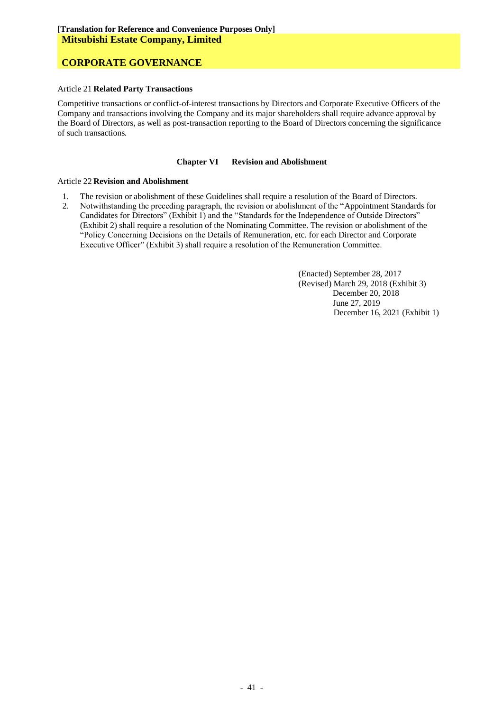# **CORPORATE GOVERNANCE**

#### Article 21 **Related Party Transactions**

Competitive transactions or conflict-of-interest transactions by Directors and Corporate Executive Officers of the Company and transactions involving the Company and its major shareholders shall require advance approval by the Board of Directors, as well as post-transaction reporting to the Board of Directors concerning the significance of such transactions.

#### **Chapter VI Revision and Abolishment**

#### Article 22 **Revision and Abolishment**

- 1. The revision or abolishment of these Guidelines shall require a resolution of the Board of Directors.
- 2. Notwithstanding the preceding paragraph, the revision or abolishment of the "Appointment Standards for Candidates for Directors" (Exhibit 1) and the "Standards for the Independence of Outside Directors" (Exhibit 2) shall require a resolution of the Nominating Committee. The revision or abolishment of the "Policy Concerning Decisions on the Details of Remuneration, etc. for each Director and Corporate Executive Officer" (Exhibit 3) shall require a resolution of the Remuneration Committee.

(Enacted) September 28, 2017 (Revised) March 29, 2018 (Exhibit 3) December 20, 2018 June 27, 2019 December 16, 2021 (Exhibit 1)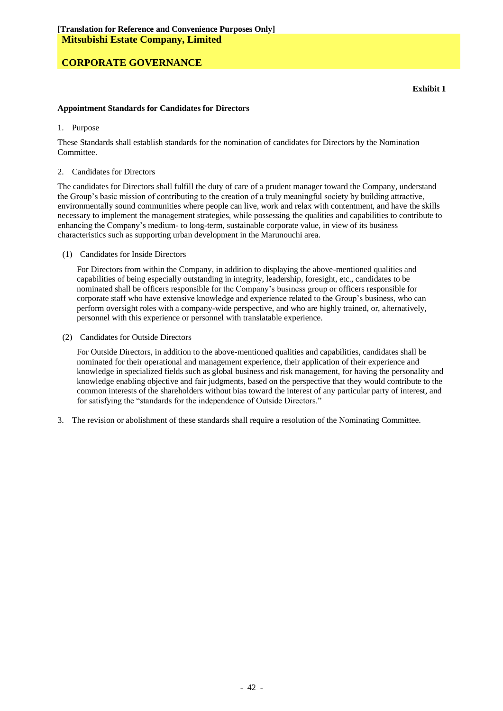#### **Appointment Standards for Candidates for Directors**

#### 1. Purpose

These Standards shall establish standards for the nomination of candidates for Directors by the Nomination Committee.

#### 2. Candidates for Directors

The candidates for Directors shall fulfill the duty of care of a prudent manager toward the Company, understand the Group's basic mission of contributing to the creation of a truly meaningful society by building attractive, environmentally sound communities where people can live, work and relax with contentment, and have the skills necessary to implement the management strategies, while possessing the qualities and capabilities to contribute to enhancing the Company's medium- to long-term, sustainable corporate value, in view of its business characteristics such as supporting urban development in the Marunouchi area.

(1) Candidates for Inside Directors

For Directors from within the Company, in addition to displaying the above-mentioned qualities and capabilities of being especially outstanding in integrity, leadership, foresight, etc., candidates to be nominated shall be officers responsible for the Company's business group or officers responsible for corporate staff who have extensive knowledge and experience related to the Group's business, who can perform oversight roles with a company-wide perspective, and who are highly trained, or, alternatively, personnel with this experience or personnel with translatable experience.

(2) Candidates for Outside Directors

For Outside Directors, in addition to the above-mentioned qualities and capabilities, candidates shall be nominated for their operational and management experience, their application of their experience and knowledge in specialized fields such as global business and risk management, for having the personality and knowledge enabling objective and fair judgments, based on the perspective that they would contribute to the common interests of the shareholders without bias toward the interest of any particular party of interest, and for satisfying the "standards for the independence of Outside Directors."

3. The revision or abolishment of these standards shall require a resolution of the Nominating Committee.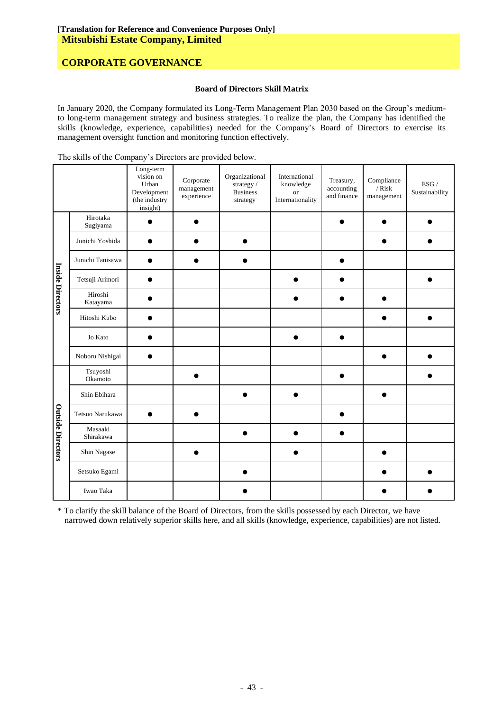#### **Board of Directors Skill Matrix**

In January 2020, the Company formulated its Long-Term Management Plan 2030 based on the Group's mediumto long-term management strategy and business strategies. To realize the plan, the Company has identified the skills (knowledge, experience, capabilities) needed for the Company's Board of Directors to exercise its management oversight function and monitoring function effectively.

The skills of the Company's Directors are provided below.

|                          |                      | Long-term<br>vision on<br>Urban<br>Development<br>(the industry<br>insight) | Corporate<br>management<br>experience | Organizational<br>strategy /<br><b>Business</b><br>strategy | International<br>knowledge<br><b>or</b><br>Internationality | Treasury,<br>accounting<br>and finance | Compliance<br>$/$ Risk<br>management | ESG /<br>Sustainability |
|--------------------------|----------------------|-----------------------------------------------------------------------------|---------------------------------------|-------------------------------------------------------------|-------------------------------------------------------------|----------------------------------------|--------------------------------------|-------------------------|
|                          | Hirotaka<br>Sugiyama |                                                                             |                                       |                                                             |                                                             |                                        |                                      |                         |
|                          | Junichi Yoshida      |                                                                             |                                       |                                                             |                                                             |                                        |                                      |                         |
|                          | Junichi Tanisawa     |                                                                             |                                       |                                                             |                                                             |                                        |                                      |                         |
|                          | Tetsuji Arimori      |                                                                             |                                       |                                                             |                                                             |                                        |                                      |                         |
| Inside Directors         | Hiroshi<br>Katayama  |                                                                             |                                       |                                                             |                                                             |                                        |                                      |                         |
|                          | Hitoshi Kubo         |                                                                             |                                       |                                                             |                                                             |                                        |                                      |                         |
|                          | Jo Kato              |                                                                             |                                       |                                                             |                                                             |                                        |                                      |                         |
|                          | Noboru Nishigai      |                                                                             |                                       |                                                             |                                                             |                                        |                                      |                         |
|                          | Tsuyoshi<br>Okamoto  |                                                                             |                                       |                                                             |                                                             |                                        |                                      |                         |
| <b>Outside Directors</b> | Shin Ebihara         |                                                                             |                                       |                                                             |                                                             |                                        |                                      |                         |
|                          | Tetsuo Narukawa      |                                                                             |                                       |                                                             |                                                             |                                        |                                      |                         |
|                          | Masaaki<br>Shirakawa |                                                                             |                                       |                                                             |                                                             |                                        |                                      |                         |
|                          | Shin Nagase          |                                                                             |                                       |                                                             |                                                             |                                        |                                      |                         |
|                          | Setsuko Egami        |                                                                             |                                       |                                                             |                                                             |                                        |                                      |                         |
|                          | Iwao Taka            |                                                                             |                                       |                                                             |                                                             |                                        |                                      |                         |

\* To clarify the skill balance of the Board of Directors, from the skills possessed by each Director, we have narrowed down relatively superior skills here, and all skills (knowledge, experience, capabilities) are not listed.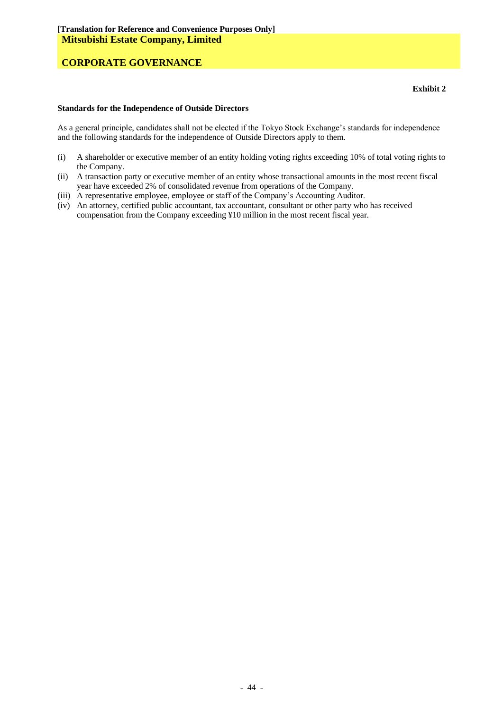#### **Standards for the Independence of Outside Directors**

As a general principle, candidates shall not be elected if the Tokyo Stock Exchange's standards for independence and the following standards for the independence of Outside Directors apply to them.

- (i) A shareholder or executive member of an entity holding voting rights exceeding 10% of total voting rights to the Company.
- (ii) A transaction party or executive member of an entity whose transactional amounts in the most recent fiscal year have exceeded 2% of consolidated revenue from operations of the Company.
- (iii) A representative employee, employee or staff of the Company's Accounting Auditor.
- (iv) An attorney, certified public accountant, tax accountant, consultant or other party who has received compensation from the Company exceeding ¥10 million in the most recent fiscal year.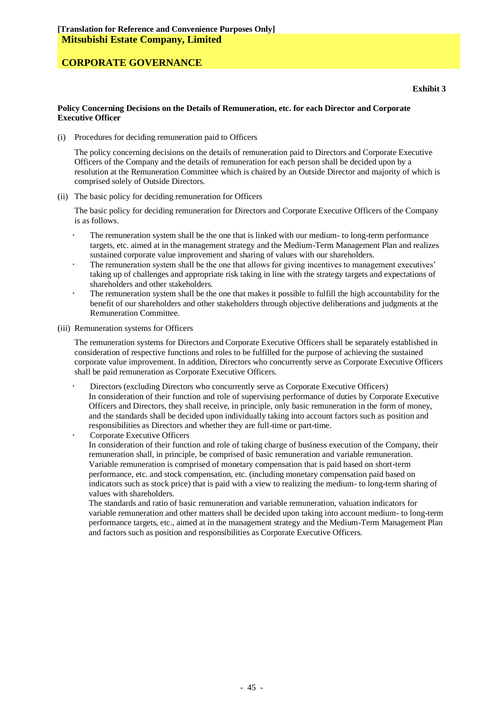#### **Policy Concerning Decisions on the Details of Remuneration, etc. for each Director and Corporate Executive Officer**

(i) Procedures for deciding remuneration paid to Officers

The policy concerning decisions on the details of remuneration paid to Directors and Corporate Executive Officers of the Company and the details of remuneration for each person shall be decided upon by a resolution at the Remuneration Committee which is chaired by an Outside Director and majority of which is comprised solely of Outside Directors.

(ii) The basic policy for deciding remuneration for Officers

The basic policy for deciding remuneration for Directors and Corporate Executive Officers of the Company is as follows.

- The remuneration system shall be the one that is linked with our medium- to long-term performance targets, etc. aimed at in the management strategy and the Medium-Term Management Plan and realizes sustained corporate value improvement and sharing of values with our shareholders.
- The remuneration system shall be the one that allows for giving incentives to management executives' taking up of challenges and appropriate risk taking in line with the strategy targets and expectations of shareholders and other stakeholders.
- The remuneration system shall be the one that makes it possible to fulfill the high accountability for the benefit of our shareholders and other stakeholders through objective deliberations and judgments at the Remuneration Committee.
- (iii) Remuneration systems for Officers

The remuneration systems for Directors and Corporate Executive Officers shall be separately established in consideration of respective functions and roles to be fulfilled for the purpose of achieving the sustained corporate value improvement. In addition, Directors who concurrently serve as Corporate Executive Officers shall be paid remuneration as Corporate Executive Officers.

 Directors (excluding Directors who concurrently serve as Corporate Executive Officers) In consideration of their function and role of supervising performance of duties by Corporate Executive Officers and Directors, they shall receive, in principle, only basic remuneration in the form of money, and the standards shall be decided upon individually taking into account factors such as position and responsibilities as Directors and whether they are full-time or part-time.

 Corporate Executive Officers In consideration of their function and role of taking charge of business execution of the Company, their remuneration shall, in principle, be comprised of basic remuneration and variable remuneration. Variable remuneration is comprised of monetary compensation that is paid based on short-term performance, etc. and stock compensation, etc. (including monetary compensation paid based on indicators such as stock price) that is paid with a view to realizing the medium- to long-term sharing of values with shareholders.

The standards and ratio of basic remuneration and variable remuneration, valuation indicators for variable remuneration and other matters shall be decided upon taking into account medium- to long-term performance targets, etc., aimed at in the management strategy and the Medium-Term Management Plan and factors such as position and responsibilities as Corporate Executive Officers.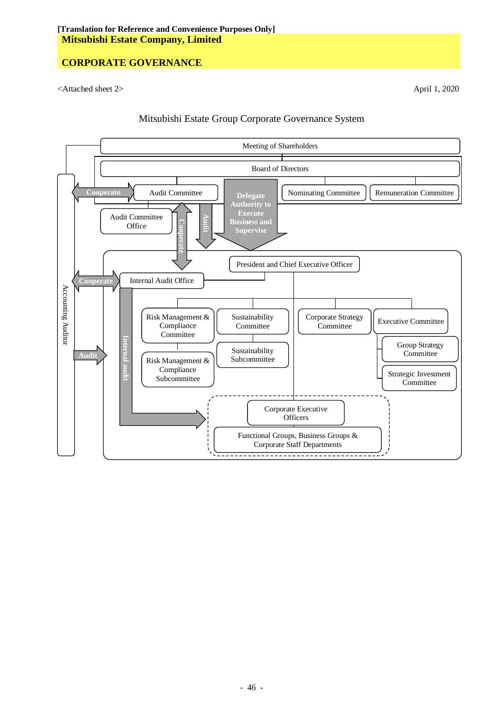<Attached sheet 2> April 1, 2020



### Mitsubishi Estate Group Corporate Governance System